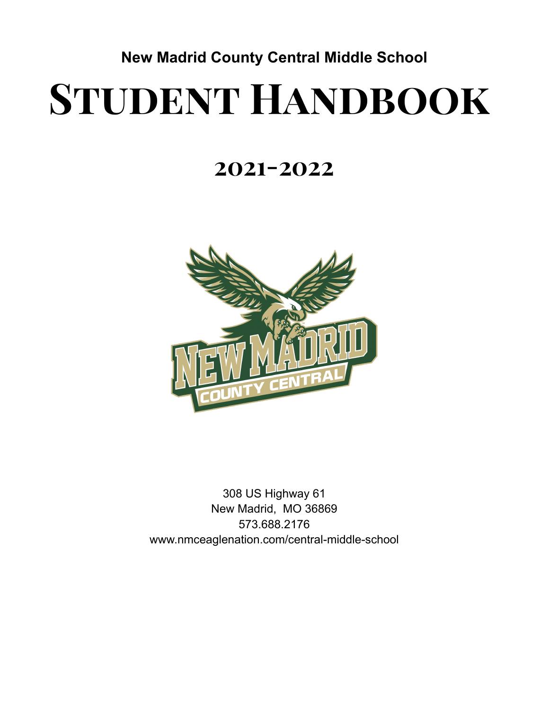**New Madrid County Central Middle School**

# **Student Handbook**

# **2021-2022**



308 US Highway 61 New Madrid, MO 36869 573.688.2176 www.nmceaglenation.com/central-middle-school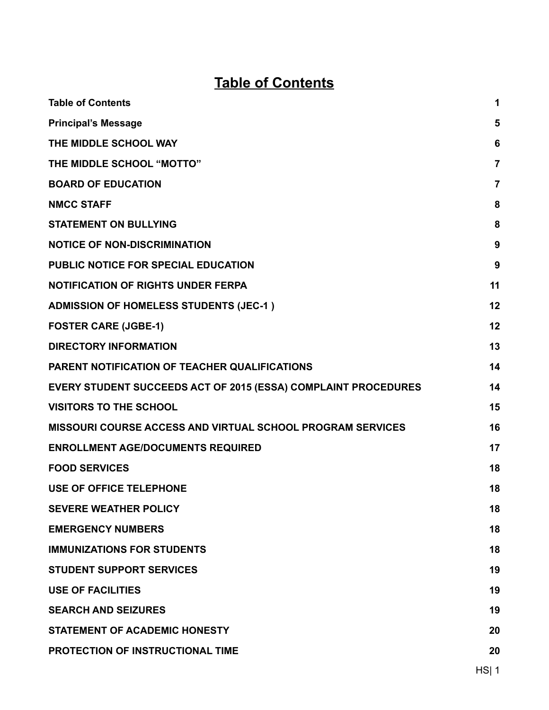# **Table of Contents**

<span id="page-1-0"></span>

| <b>Table of Contents</b>                                          | 1              |
|-------------------------------------------------------------------|----------------|
| <b>Principal's Message</b>                                        | 5              |
| THE MIDDLE SCHOOL WAY                                             | 6              |
| THE MIDDLE SCHOOL "MOTTO"                                         | $\overline{7}$ |
| <b>BOARD OF EDUCATION</b>                                         | $\overline{7}$ |
| <b>NMCC STAFF</b>                                                 | 8              |
| <b>STATEMENT ON BULLYING</b>                                      | 8              |
| <b>NOTICE OF NON-DISCRIMINATION</b>                               | 9              |
| <b>PUBLIC NOTICE FOR SPECIAL EDUCATION</b>                        | 9              |
| <b>NOTIFICATION OF RIGHTS UNDER FERPA</b>                         | 11             |
| <b>ADMISSION OF HOMELESS STUDENTS (JEC-1)</b>                     | 12             |
| <b>FOSTER CARE (JGBE-1)</b>                                       | 12             |
| <b>DIRECTORY INFORMATION</b>                                      | 13             |
| PARENT NOTIFICATION OF TEACHER QUALIFICATIONS                     | 14             |
| EVERY STUDENT SUCCEEDS ACT OF 2015 (ESSA) COMPLAINT PROCEDURES    | 14             |
| <b>VISITORS TO THE SCHOOL</b>                                     | 15             |
| <b>MISSOURI COURSE ACCESS AND VIRTUAL SCHOOL PROGRAM SERVICES</b> | 16             |
| <b>ENROLLMENT AGE/DOCUMENTS REQUIRED</b>                          | 17             |
| <b>FOOD SERVICES</b>                                              | 18             |
| <b>USE OF OFFICE TELEPHONE</b>                                    | 18             |
| <b>SEVERE WEATHER POLICY</b>                                      | 18             |
| <b>EMERGENCY NUMBERS</b>                                          | 18             |
| <b>IMMUNIZATIONS FOR STUDENTS</b>                                 | 18             |
| <b>STUDENT SUPPORT SERVICES</b>                                   | 19             |
| <b>USE OF FACILITIES</b>                                          | 19             |
| <b>SEARCH AND SEIZURES</b>                                        | 19             |
| <b>STATEMENT OF ACADEMIC HONESTY</b>                              | 20             |
| PROTECTION OF INSTRUCTIONAL TIME                                  | 20             |
|                                                                   |                |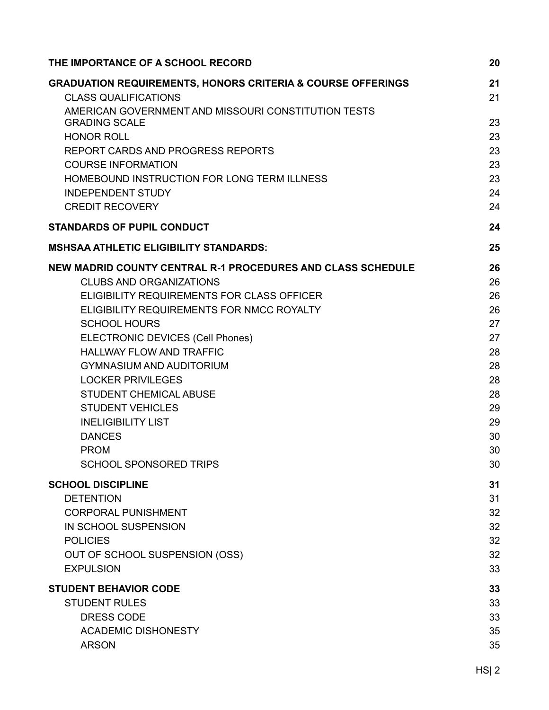| THE IMPORTANCE OF A SCHOOL RECORD                                                                                                                                                                                                                                       | 20                                     |
|-------------------------------------------------------------------------------------------------------------------------------------------------------------------------------------------------------------------------------------------------------------------------|----------------------------------------|
| <b>GRADUATION REQUIREMENTS, HONORS CRITERIA &amp; COURSE OFFERINGS</b>                                                                                                                                                                                                  | 21                                     |
| <b>CLASS QUALIFICATIONS</b>                                                                                                                                                                                                                                             | 21                                     |
| AMERICAN GOVERNMENT AND MISSOURI CONSTITUTION TESTS<br><b>GRADING SCALE</b><br><b>HONOR ROLL</b><br>REPORT CARDS AND PROGRESS REPORTS<br><b>COURSE INFORMATION</b><br>HOMEBOUND INSTRUCTION FOR LONG TERM ILLNESS<br><b>INDEPENDENT STUDY</b><br><b>CREDIT RECOVERY</b> | 23<br>23<br>23<br>23<br>23<br>24<br>24 |
| <b>STANDARDS OF PUPIL CONDUCT</b>                                                                                                                                                                                                                                       | 24                                     |
| <b>MSHSAA ATHLETIC ELIGIBILITY STANDARDS:</b>                                                                                                                                                                                                                           | 25                                     |
| NEW MADRID COUNTY CENTRAL R-1 PROCEDURES AND CLASS SCHEDULE                                                                                                                                                                                                             | 26                                     |
| <b>CLUBS AND ORGANIZATIONS</b>                                                                                                                                                                                                                                          | 26                                     |
| ELIGIBILITY REQUIREMENTS FOR CLASS OFFICER                                                                                                                                                                                                                              | 26                                     |
| ELIGIBILITY REQUIREMENTS FOR NMCC ROYALTY                                                                                                                                                                                                                               | 26                                     |
| <b>SCHOOL HOURS</b>                                                                                                                                                                                                                                                     | 27                                     |
| <b>ELECTRONIC DEVICES (Cell Phones)</b>                                                                                                                                                                                                                                 | 27                                     |
| <b>HALLWAY FLOW AND TRAFFIC</b>                                                                                                                                                                                                                                         | 28                                     |
| <b>GYMNASIUM AND AUDITORIUM</b>                                                                                                                                                                                                                                         | 28                                     |
| <b>LOCKER PRIVILEGES</b>                                                                                                                                                                                                                                                | 28                                     |
| <b>STUDENT CHEMICAL ABUSE</b>                                                                                                                                                                                                                                           | 28                                     |
| <b>STUDENT VEHICLES</b>                                                                                                                                                                                                                                                 | 29                                     |
| <b>INELIGIBILITY LIST</b>                                                                                                                                                                                                                                               | 29                                     |
| <b>DANCES</b>                                                                                                                                                                                                                                                           | 30                                     |
| <b>PROM</b>                                                                                                                                                                                                                                                             | 30                                     |
| <b>SCHOOL SPONSORED TRIPS</b>                                                                                                                                                                                                                                           | 30                                     |
| <b>SCHOOL DISCIPLINE</b>                                                                                                                                                                                                                                                | 31                                     |
| <b>DETENTION</b>                                                                                                                                                                                                                                                        | 31                                     |
| <b>CORPORAL PUNISHMENT</b>                                                                                                                                                                                                                                              | 32                                     |
| IN SCHOOL SUSPENSION                                                                                                                                                                                                                                                    | 32                                     |
| <b>POLICIES</b>                                                                                                                                                                                                                                                         | 32                                     |
| OUT OF SCHOOL SUSPENSION (OSS)                                                                                                                                                                                                                                          | 32                                     |
| <b>EXPULSION</b>                                                                                                                                                                                                                                                        | 33                                     |
| <b>STUDENT BEHAVIOR CODE</b>                                                                                                                                                                                                                                            | 33                                     |
| <b>STUDENT RULES</b>                                                                                                                                                                                                                                                    | 33                                     |
| <b>DRESS CODE</b>                                                                                                                                                                                                                                                       | 33                                     |
| <b>ACADEMIC DISHONESTY</b>                                                                                                                                                                                                                                              | 35                                     |
| <b>ARSON</b>                                                                                                                                                                                                                                                            | 35                                     |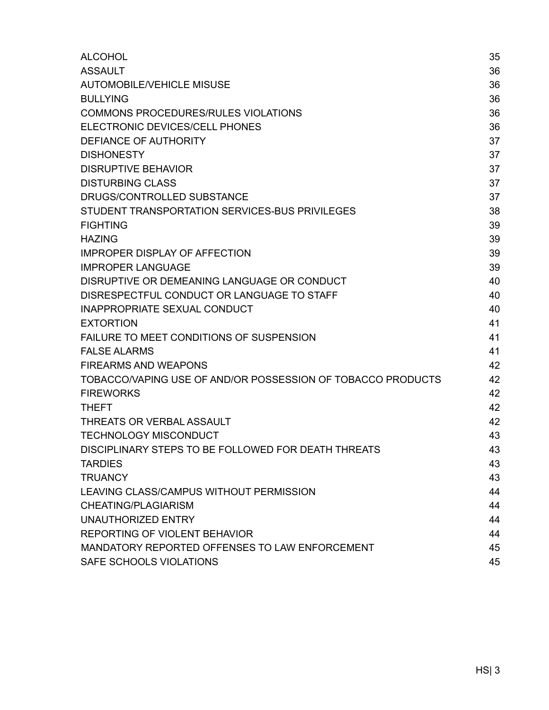| <b>ALCOHOL</b>                                              | 35 |
|-------------------------------------------------------------|----|
| <b>ASSAULT</b>                                              | 36 |
| <b>AUTOMOBILE/VEHICLE MISUSE</b>                            | 36 |
| <b>BULLYING</b>                                             | 36 |
| <b>COMMONS PROCEDURES/RULES VIOLATIONS</b>                  | 36 |
| ELECTRONIC DEVICES/CELL PHONES                              | 36 |
| DEFIANCE OF AUTHORITY                                       | 37 |
| <b>DISHONESTY</b>                                           | 37 |
| <b>DISRUPTIVE BEHAVIOR</b>                                  | 37 |
| <b>DISTURBING CLASS</b>                                     | 37 |
| DRUGS/CONTROLLED SUBSTANCE                                  | 37 |
| STUDENT TRANSPORTATION SERVICES-BUS PRIVILEGES              | 38 |
| <b>FIGHTING</b>                                             | 39 |
| <b>HAZING</b>                                               | 39 |
| <b>IMPROPER DISPLAY OF AFFECTION</b>                        | 39 |
| <b>IMPROPER LANGUAGE</b>                                    | 39 |
| DISRUPTIVE OR DEMEANING LANGUAGE OR CONDUCT                 | 40 |
| DISRESPECTFUL CONDUCT OR LANGUAGE TO STAFF                  | 40 |
| <b>INAPPROPRIATE SEXUAL CONDUCT</b>                         | 40 |
| <b>EXTORTION</b>                                            | 41 |
| FAILURE TO MEET CONDITIONS OF SUSPENSION                    | 41 |
| <b>FALSE ALARMS</b>                                         | 41 |
| <b>FIREARMS AND WEAPONS</b>                                 | 42 |
| TOBACCO/VAPING USE OF AND/OR POSSESSION OF TOBACCO PRODUCTS | 42 |
| <b>FIREWORKS</b>                                            | 42 |
| <b>THEFT</b>                                                | 42 |
| THREATS OR VERBAL ASSAULT                                   | 42 |
| <b>TECHNOLOGY MISCONDUCT</b>                                | 43 |
| DISCIPLINARY STEPS TO BE FOLLOWED FOR DEATH THREATS         | 43 |
| <b>TARDIES</b>                                              | 43 |
| <b>TRUANCY</b>                                              | 43 |
| LEAVING CLASS/CAMPUS WITHOUT PERMISSION                     | 44 |
| <b>CHEATING/PLAGIARISM</b>                                  | 44 |
| UNAUTHORIZED ENTRY                                          | 44 |
| REPORTING OF VIOLENT BEHAVIOR                               | 44 |
| MANDATORY REPORTED OFFENSES TO LAW ENFORCEMENT              | 45 |
| SAFE SCHOOLS VIOLATIONS                                     | 45 |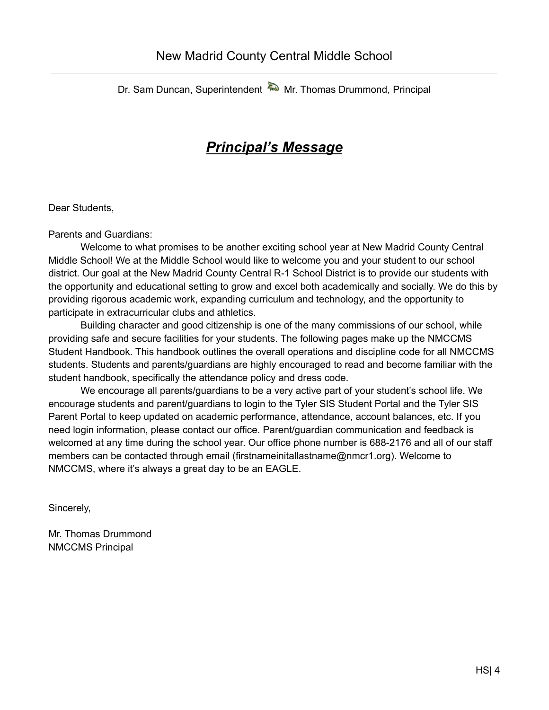<span id="page-4-0"></span>Dr. Sam Duncan, Superintendent **MR** Mr. Thomas Drummond, Principal

# *Principal's Message*

Dear Students,

Parents and Guardians:

Welcome to what promises to be another exciting school year at New Madrid County Central Middle School! We at the Middle School would like to welcome you and your student to our school district. Our goal at the New Madrid County Central R-1 School District is to provide our students with the opportunity and educational setting to grow and excel both academically and socially. We do this by providing rigorous academic work, expanding curriculum and technology, and the opportunity to participate in extracurricular clubs and athletics.

Building character and good citizenship is one of the many commissions of our school, while providing safe and secure facilities for your students. The following pages make up the NMCCMS Student Handbook. This handbook outlines the overall operations and discipline code for all NMCCMS students. Students and parents/guardians are highly encouraged to read and become familiar with the student handbook, specifically the attendance policy and dress code.

We encourage all parents/guardians to be a very active part of your student's school life. We encourage students and parent/guardians to login to the Tyler SIS Student Portal and the Tyler SIS Parent Portal to keep updated on academic performance, attendance, account balances, etc. If you need login information, please contact our office. Parent/guardian communication and feedback is welcomed at any time during the school year. Our office phone number is 688-2176 and all of our staff members can be contacted through email (firstnameinitallastname@nmcr1.org). Welcome to NMCCMS, where it's always a great day to be an EAGLE.

Sincerely,

Mr. Thomas Drummond NMCCMS Principal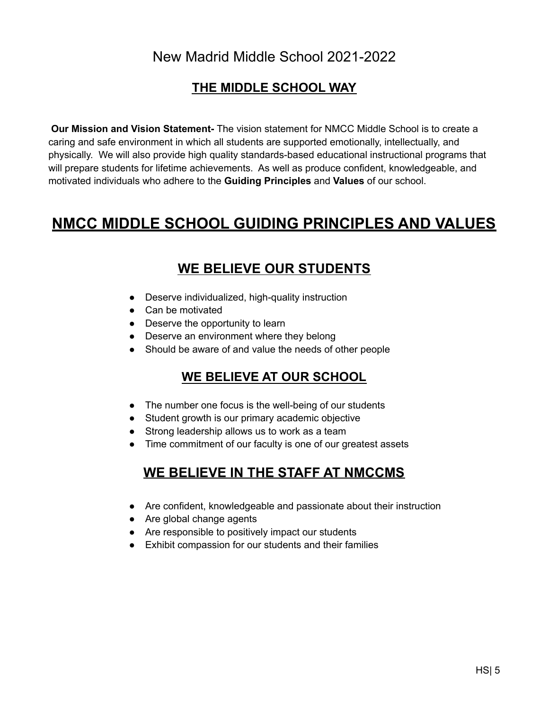#### New Madrid Middle School 2021-2022

#### **THE MIDDLE SCHOOL WAY**

**Our Mission and Vision Statement-** The vision statement for NMCC Middle School is to create a caring and safe environment in which all students are supported emotionally, intellectually, and physically. We will also provide high quality standards-based educational instructional programs that will prepare students for lifetime achievements. As well as produce confident, knowledgeable, and motivated individuals who adhere to the **Guiding Principles** and **Values** of our school.

# **NMCC MIDDLE SCHOOL GUIDING PRINCIPLES AND VALUES**

#### **WE BELIEVE OUR STUDENTS**

- Deserve individualized, high-quality instruction
- Can be motivated
- Deserve the opportunity to learn
- Deserve an environment where they belong
- Should be aware of and value the needs of other people

#### **WE BELIEVE AT OUR SCHOOL**

- The number one focus is the well-being of our students
- Student growth is our primary academic objective
- Strong leadership allows us to work as a team
- Time commitment of our faculty is one of our greatest assets

#### **WE BELIEVE IN THE STAFF AT NMCCMS**

- Are confident, knowledgeable and passionate about their instruction
- Are global change agents
- Are responsible to positively impact our students
- Exhibit compassion for our students and their families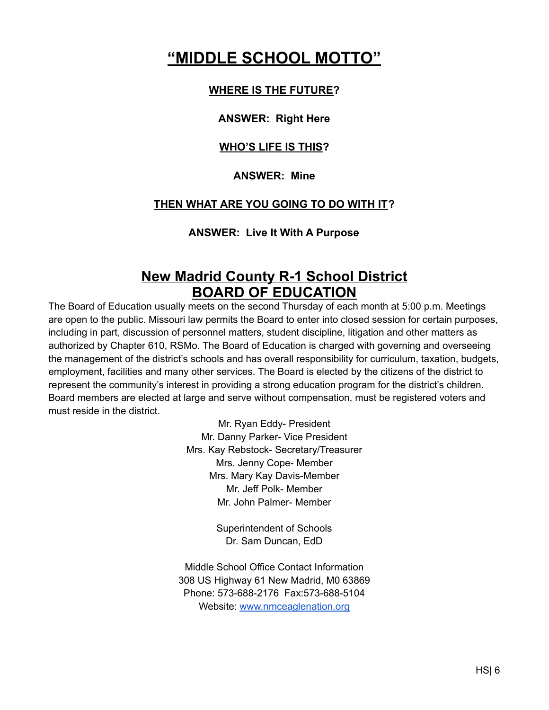#### **"MIDDLE SCHOOL MOTTO"**

#### **WHERE IS THE FUTURE?**

#### **ANSWER: Right Here**

#### **WHO'S LIFE IS THIS?**

#### **ANSWER: Mine**

#### **THEN WHAT ARE YOU GOING TO DO WITH IT?**

**ANSWER: Live It With A Purpose**

#### **New Madrid County R-1 School District BOARD OF EDUCATION**

<span id="page-6-0"></span>The Board of Education usually meets on the second Thursday of each month at 5:00 p.m. Meetings are open to the public. Missouri law permits the Board to enter into closed session for certain purposes, including in part, discussion of personnel matters, student discipline, litigation and other matters as authorized by Chapter 610, RSMo. The Board of Education is charged with governing and overseeing the management of the district's schools and has overall responsibility for curriculum, taxation, budgets, employment, facilities and many other services. The Board is elected by the citizens of the district to represent the community's interest in providing a strong education program for the district's children. Board members are elected at large and serve without compensation, must be registered voters and must reside in the district.

> Mr. Ryan Eddy- President Mr. Danny Parker- Vice President Mrs. Kay Rebstock- Secretary/Treasurer Mrs. Jenny Cope- Member Mrs. Mary Kay Davis-Member Mr. Jeff Polk- Member Mr. John Palmer- Member

> > Superintendent of Schools Dr. Sam Duncan, EdD

Middle School Office Contact Information 308 US Highway 61 New Madrid, M0 63869 Phone: 573-688-2176 Fax:573-688-5104 Website: [www.nmceaglenation.org](http://www.nmceaglenation.org)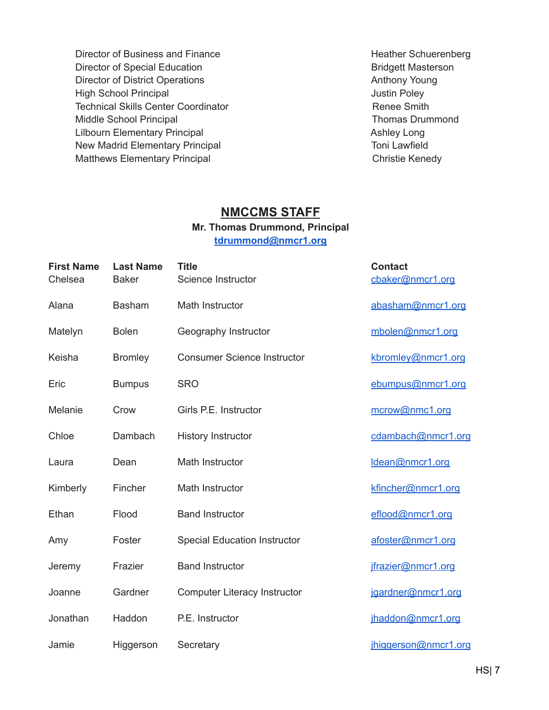Director of Business and Finance **Heather Schuerenberg Heather Schuerenberg** Director of Special Education **Bridgett Masterson** Director of District Operations **Anthony Young Anthony Young** High School Principal **Accord Principal Accord Principal** Justin Poley Technical Skills Center Coordinator **Renee Smith** Middle School Principal Middle School Principal Thomas Drummond Lilbourn Elementary Principal **Ashley Long** Ashley Long New Madrid Elementary Principal Toni Lawfield Matthews Elementary Principal Christie Kenedy

#### **NMCCMS STAFF**

#### **Mr. Thomas Drummond, Principal [tdrummond@nmcr1.org](mailto:tdrummond@nmcr1.org)**

| <b>First Name</b><br>Chelsea | <b>Last Name</b><br><b>Baker</b> | <b>Title</b><br>Science Instructor   | <b>Contact</b><br>cbaker@nmcr1.org |  |
|------------------------------|----------------------------------|--------------------------------------|------------------------------------|--|
| Alana                        | <b>Basham</b>                    | Math Instructor                      | abasham@nmcr1.org                  |  |
| Matelyn                      | <b>Bolen</b>                     | Geography Instructor                 | mbolen@nmcr1.org                   |  |
| Keisha                       | <b>Bromley</b>                   | <b>Consumer Science Instructor</b>   | kbromley@nmcr1.org                 |  |
| Eric                         | <b>Bumpus</b>                    | <b>SRO</b>                           | ebumpus@nmcr1.org                  |  |
| Melanie                      | Crow                             | Girls P.E. Instructor                | mcrow@nmc1.org                     |  |
| Chloe                        | Dambach                          | <b>History Instructor</b>            | cdambach@nmcr1.org                 |  |
| Laura                        | Dean                             | Math Instructor                      | Idean@nmcr1.org                    |  |
| Kimberly                     | Fincher                          | Math Instructor                      | kfincher@nmcr1.org                 |  |
| Ethan                        | Flood                            | <b>Band Instructor</b>               | eflood@nmcr1.org                   |  |
| Amy                          | Foster                           | <b>Special Education Instructor</b>  | afoster@nmcr1.org                  |  |
| Jeremy                       | Frazier                          | <b>Band Instructor</b>               | ifrazier@nmcr1.org                 |  |
| Joanne                       | Gardner                          | Computer Literacy Instructor         | jgardner@nmcr1.org                 |  |
| Jonathan                     | Haddon                           | P.E. Instructor<br>ihaddon@nmcr1.org |                                    |  |
| Jamie                        | Higgerson                        | Secretary                            | jhiggerson@nmcr1.org               |  |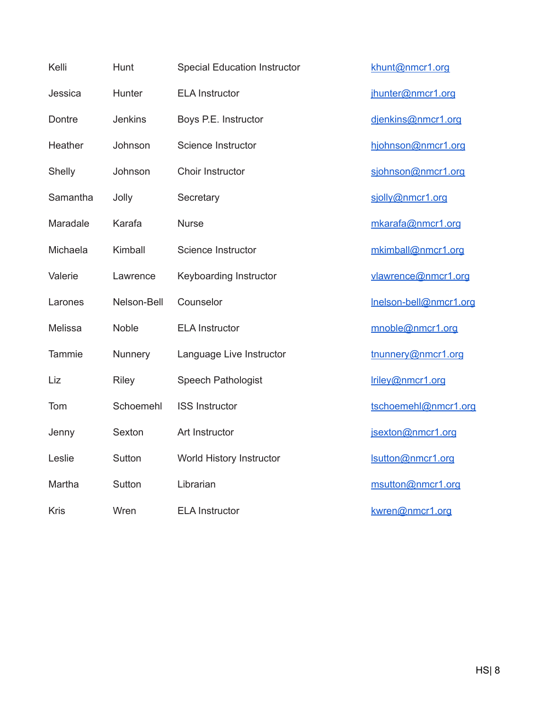| Kelli       | Hunt           | khunt@nmcr1.org<br><b>Special Education Instructor</b> |                        |
|-------------|----------------|--------------------------------------------------------|------------------------|
| Jessica     | Hunter         | <b>ELA Instructor</b>                                  | jhunter@nmcr1.org      |
| Dontre      | <b>Jenkins</b> | Boys P.E. Instructor                                   | djenkins@nmcr1.org     |
| Heather     | Johnson        | Science Instructor                                     | hjohnson@nmcr1.org     |
| Shelly      | Johnson        | Choir Instructor                                       | sjohnson@nmcr1.org     |
| Samantha    | Jolly          | Secretary                                              | sjolly@nmcr1.org       |
| Maradale    | Karafa         | <b>Nurse</b>                                           | mkarafa@nmcr1.org      |
| Michaela    | Kimball        | Science Instructor                                     | mkimball@nmcr1.org     |
| Valerie     | Lawrence       | Keyboarding Instructor                                 | vlawrence@nmcr1.org    |
| Larones     | Nelson-Bell    | Counselor                                              | Inelson-bell@nmcr1.org |
| Melissa     | <b>Noble</b>   | <b>ELA Instructor</b>                                  | mnoble@nmcr1.org       |
| Tammie      | Nunnery        | Language Live Instructor                               | tnunnery@nmcr1.org     |
| Liz         | <b>Riley</b>   | Speech Pathologist                                     | Iriley@nmcr1.org       |
| Tom         | Schoemehl      | <b>ISS Instructor</b>                                  | tschoemehl@nmcr1.org   |
| Jenny       | Sexton         | Art Instructor                                         | jsexton@nmcr1.org      |
| Leslie      | Sutton         | World History Instructor                               | lsutton@nmcr1.org      |
| Martha      | Sutton         | Librarian                                              | msutton@nmcr1.org      |
| <b>Kris</b> | Wren           | <b>ELA Instructor</b>                                  | kwren@nmcr1.org        |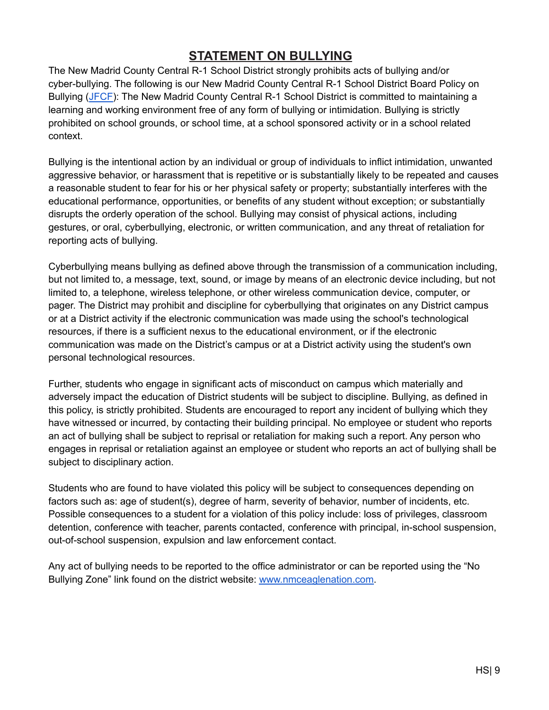#### **STATEMENT ON BULLYING**

The New Madrid County Central R-1 School District strongly prohibits acts of bullying and/or cyber-bullying. The following is our New Madrid County Central R-1 School District Board Policy on Bullying [\(JFCF](https://simbli.eboardsolutions.com/Policy/ViewPolicy.aspx?S=327&revid=PAm3O5D5hFplussP7plusBkislshfzg==&PG=6&st=bullying&mt=Exact)): The New Madrid County Central R-1 School District is committed to maintaining a learning and working environment free of any form of bullying or intimidation. Bullying is strictly prohibited on school grounds, or school time, at a school sponsored activity or in a school related context.

Bullying is the intentional action by an individual or group of individuals to inflict intimidation, unwanted aggressive behavior, or harassment that is repetitive or is substantially likely to be repeated and causes a reasonable student to fear for his or her physical safety or property; substantially interferes with the educational performance, opportunities, or benefits of any student without exception; or substantially disrupts the orderly operation of the school. Bullying may consist of physical actions, including gestures, or oral, cyberbullying, electronic, or written communication, and any threat of retaliation for reporting acts of bullying.

Cyberbullying means bullying as defined above through the transmission of a communication including, but not limited to, a message, text, sound, or image by means of an electronic device including, but not limited to, a telephone, wireless telephone, or other wireless communication device, computer, or pager. The District may prohibit and discipline for cyberbullying that originates on any District campus or at a District activity if the electronic communication was made using the school's technological resources, if there is a sufficient nexus to the educational environment, or if the electronic communication was made on the District's campus or at a District activity using the student's own personal technological resources.

Further, students who engage in significant acts of misconduct on campus which materially and adversely impact the education of District students will be subject to discipline. Bullying, as defined in this policy, is strictly prohibited. Students are encouraged to report any incident of bullying which they have witnessed or incurred, by contacting their building principal. No employee or student who reports an act of bullying shall be subject to reprisal or retaliation for making such a report. Any person who engages in reprisal or retaliation against an employee or student who reports an act of bullying shall be subject to disciplinary action.

Students who are found to have violated this policy will be subject to consequences depending on factors such as: age of student(s), degree of harm, severity of behavior, number of incidents, etc. Possible consequences to a student for a violation of this policy include: loss of privileges, classroom detention, conference with teacher, parents contacted, conference with principal, in-school suspension, out-of-school suspension, expulsion and law enforcement contact.

Any act of bullying needs to be reported to the office administrator or can be reported using the "No Bullying Zone" link found on the district website: [www.nmceaglenation.com.](http://www.nmceaglenation.com)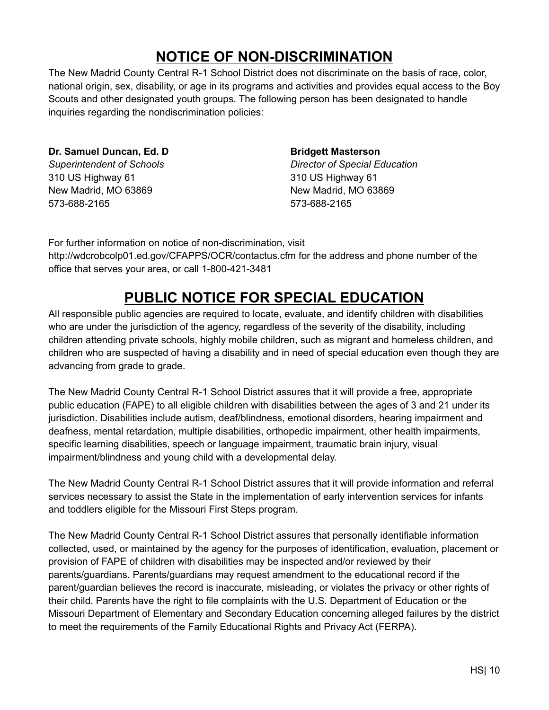# **NOTICE OF NON-DISCRIMINATION**

<span id="page-10-0"></span>The New Madrid County Central R-1 School District does not discriminate on the basis of race, color, national origin, sex, disability, or age in its programs and activities and provides equal access to the Boy Scouts and other designated youth groups. The following person has been designated to handle inquiries regarding the nondiscrimination policies:

**Dr. Samuel Duncan, Ed. D** *Superintendent of Schools* 310 US Highway 61 New Madrid, MO 63869 573-688-2165

#### **Bridgett Masterson**

*Director of Special Education* 310 US Highway 61 New Madrid, MO 63869 573-688-2165

For further information on notice of non-discrimination, visit http://wdcrobcolp01.ed.gov/CFAPPS/OCR/contactus.cfm for the address and phone number of the office that serves your area, or call 1-800-421-3481

# **PUBLIC NOTICE FOR SPECIAL EDUCATION**

<span id="page-10-1"></span>All responsible public agencies are required to locate, evaluate, and identify children with disabilities who are under the jurisdiction of the agency, regardless of the severity of the disability, including children attending private schools, highly mobile children, such as migrant and homeless children, and children who are suspected of having a disability and in need of special education even though they are advancing from grade to grade.

The New Madrid County Central R-1 School District assures that it will provide a free, appropriate public education (FAPE) to all eligible children with disabilities between the ages of 3 and 21 under its jurisdiction. Disabilities include autism, deaf/blindness, emotional disorders, hearing impairment and deafness, mental retardation, multiple disabilities, orthopedic impairment, other health impairments, specific learning disabilities, speech or language impairment, traumatic brain injury, visual impairment/blindness and young child with a developmental delay.

The New Madrid County Central R-1 School District assures that it will provide information and referral services necessary to assist the State in the implementation of early intervention services for infants and toddlers eligible for the Missouri First Steps program.

The New Madrid County Central R-1 School District assures that personally identifiable information collected, used, or maintained by the agency for the purposes of identification, evaluation, placement or provision of FAPE of children with disabilities may be inspected and/or reviewed by their parents/guardians. Parents/guardians may request amendment to the educational record if the parent/guardian believes the record is inaccurate, misleading, or violates the privacy or other rights of their child. Parents have the right to file complaints with the U.S. Department of Education or the Missouri Department of Elementary and Secondary Education concerning alleged failures by the district to meet the requirements of the Family Educational Rights and Privacy Act (FERPA).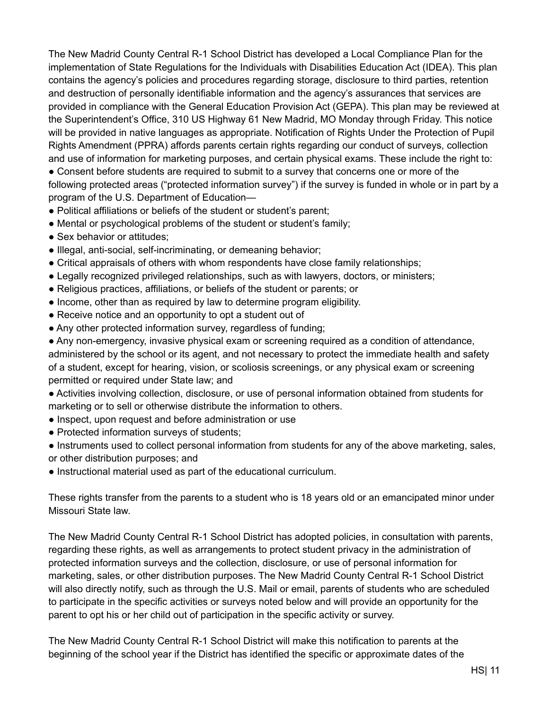The New Madrid County Central R-1 School District has developed a Local Compliance Plan for the implementation of State Regulations for the Individuals with Disabilities Education Act (IDEA). This plan contains the agency's policies and procedures regarding storage, disclosure to third parties, retention and destruction of personally identifiable information and the agency's assurances that services are provided in compliance with the General Education Provision Act (GEPA). This plan may be reviewed at the Superintendent's Office, 310 US Highway 61 New Madrid, MO Monday through Friday. This notice will be provided in native languages as appropriate. Notification of Rights Under the Protection of Pupil Rights Amendment (PPRA) affords parents certain rights regarding our conduct of surveys, collection and use of information for marketing purposes, and certain physical exams. These include the right to:

● Consent before students are required to submit to a survey that concerns one or more of the following protected areas ("protected information survey") if the survey is funded in whole or in part by a program of the U.S. Department of Education—

- Political affiliations or beliefs of the student or student's parent;
- Mental or psychological problems of the student or student's family;
- Sex behavior or attitudes;
- Illegal, anti-social, self-incriminating, or demeaning behavior;
- Critical appraisals of others with whom respondents have close family relationships;
- Legally recognized privileged relationships, such as with lawyers, doctors, or ministers;
- Religious practices, affiliations, or beliefs of the student or parents; or
- Income, other than as required by law to determine program eligibility.
- Receive notice and an opportunity to opt a student out of
- Any other protected information survey, regardless of funding;
- Any non-emergency, invasive physical exam or screening required as a condition of attendance, administered by the school or its agent, and not necessary to protect the immediate health and safety of a student, except for hearing, vision, or scoliosis screenings, or any physical exam or screening permitted or required under State law; and
- Activities involving collection, disclosure, or use of personal information obtained from students for marketing or to sell or otherwise distribute the information to others.
- Inspect, upon request and before administration or use
- Protected information surveys of students;
- Instruments used to collect personal information from students for any of the above marketing, sales, or other distribution purposes; and
- Instructional material used as part of the educational curriculum.

These rights transfer from the parents to a student who is 18 years old or an emancipated minor under Missouri State law.

The New Madrid County Central R-1 School District has adopted policies, in consultation with parents, regarding these rights, as well as arrangements to protect student privacy in the administration of protected information surveys and the collection, disclosure, or use of personal information for marketing, sales, or other distribution purposes. The New Madrid County Central R-1 School District will also directly notify, such as through the U.S. Mail or email, parents of students who are scheduled to participate in the specific activities or surveys noted below and will provide an opportunity for the parent to opt his or her child out of participation in the specific activity or survey.

The New Madrid County Central R-1 School District will make this notification to parents at the beginning of the school year if the District has identified the specific or approximate dates of the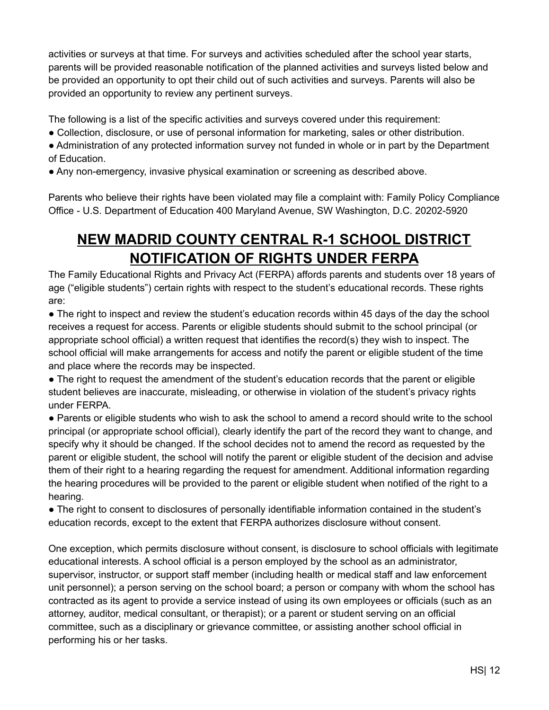activities or surveys at that time. For surveys and activities scheduled after the school year starts, parents will be provided reasonable notification of the planned activities and surveys listed below and be provided an opportunity to opt their child out of such activities and surveys. Parents will also be provided an opportunity to review any pertinent surveys.

The following is a list of the specific activities and surveys covered under this requirement:

- Collection, disclosure, or use of personal information for marketing, sales or other distribution.
- Administration of any protected information survey not funded in whole or in part by the Department of Education.
- Any non-emergency, invasive physical examination or screening as described above.

Parents who believe their rights have been violated may file a complaint with: Family Policy Compliance Office - U.S. Department of Education 400 Maryland Avenue, SW Washington, D.C. 20202-5920

# **NEW MADRID COUNTY CENTRAL R-1 SCHOOL DISTRICT NOTIFICATION OF RIGHTS UNDER FERPA**

<span id="page-12-0"></span>The Family Educational Rights and Privacy Act (FERPA) affords parents and students over 18 years of age ("eligible students") certain rights with respect to the student's educational records. These rights are:

• The right to inspect and review the student's education records within 45 days of the day the school receives a request for access. Parents or eligible students should submit to the school principal (or appropriate school official) a written request that identifies the record(s) they wish to inspect. The school official will make arrangements for access and notify the parent or eligible student of the time and place where the records may be inspected.

● The right to request the amendment of the student's education records that the parent or eligible student believes are inaccurate, misleading, or otherwise in violation of the student's privacy rights under FERPA.

● Parents or eligible students who wish to ask the school to amend a record should write to the school principal (or appropriate school official), clearly identify the part of the record they want to change, and specify why it should be changed. If the school decides not to amend the record as requested by the parent or eligible student, the school will notify the parent or eligible student of the decision and advise them of their right to a hearing regarding the request for amendment. Additional information regarding the hearing procedures will be provided to the parent or eligible student when notified of the right to a hearing.

● The right to consent to disclosures of personally identifiable information contained in the student's education records, except to the extent that FERPA authorizes disclosure without consent.

One exception, which permits disclosure without consent, is disclosure to school officials with legitimate educational interests. A school official is a person employed by the school as an administrator, supervisor, instructor, or support staff member (including health or medical staff and law enforcement unit personnel); a person serving on the school board; a person or company with whom the school has contracted as its agent to provide a service instead of using its own employees or officials (such as an attorney, auditor, medical consultant, or therapist); or a parent or student serving on an official committee, such as a disciplinary or grievance committee, or assisting another school official in performing his or her tasks.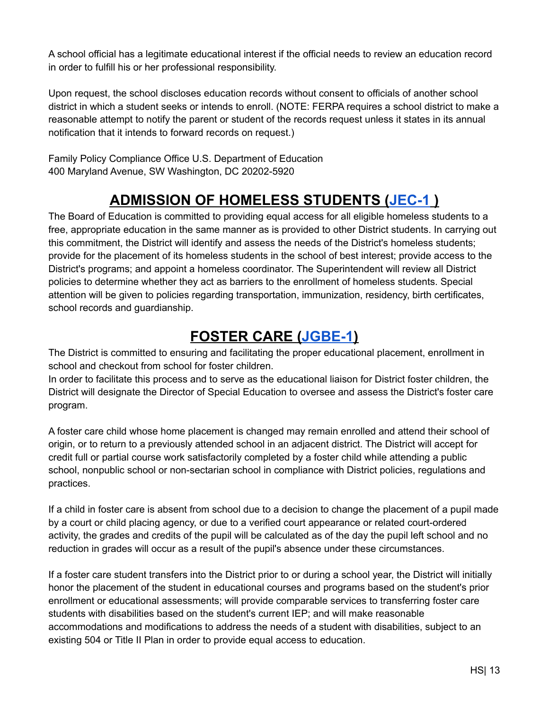A school official has a legitimate educational interest if the official needs to review an education record in order to fulfill his or her professional responsibility.

Upon request, the school discloses education records without consent to officials of another school district in which a student seeks or intends to enroll. (NOTE: FERPA requires a school district to make a reasonable attempt to notify the parent or student of the records request unless it states in its annual notification that it intends to forward records on request.)

Family Policy Compliance Office U.S. Department of Education 400 Maryland Avenue, SW Washington, DC 20202-5920

# **ADMISSION OF HOMELESS STUDENTS [\(JEC-1](https://simbli.eboardsolutions.com/Policy/ViewPolicy.aspx?S=327&revid=zurMRwkEOE1BukIrwTyyHQ==&PG=6&st=homeless&mt=Exact) )**

<span id="page-13-0"></span>The Board of Education is committed to providing equal access for all eligible homeless students to a free, appropriate education in the same manner as is provided to other District students. In carrying out this commitment, the District will identify and assess the needs of the District's homeless students; provide for the placement of its homeless students in the school of best interest; provide access to the District's programs; and appoint a homeless coordinator. The Superintendent will review all District policies to determine whether they act as barriers to the enrollment of homeless students. Special attention will be given to policies regarding transportation, immunization, residency, birth certificates, school records and guardianship.

# **FOSTER CARE ([JGBE-1](https://simbli.eboardsolutions.com/Policy/ViewPolicy.aspx?S=327&revid=2m5slsh0plusdUQRvXaATEtShwMw==&PG=6&st=foster%20care&mt=Exact))**

<span id="page-13-1"></span>The District is committed to ensuring and facilitating the proper educational placement, enrollment in school and checkout from school for foster children.

In order to facilitate this process and to serve as the educational liaison for District foster children, the District will designate the Director of Special Education to oversee and assess the District's foster care program.

A foster care child whose home placement is changed may remain enrolled and attend their school of origin, or to return to a previously attended school in an adjacent district. The District will accept for credit full or partial course work satisfactorily completed by a foster child while attending a public school, nonpublic school or non-sectarian school in compliance with District policies, regulations and practices.

If a child in foster care is absent from school due to a decision to change the placement of a pupil made by a court or child placing agency, or due to a verified court appearance or related court-ordered activity, the grades and credits of the pupil will be calculated as of the day the pupil left school and no reduction in grades will occur as a result of the pupil's absence under these circumstances.

If a foster care student transfers into the District prior to or during a school year, the District will initially honor the placement of the student in educational courses and programs based on the student's prior enrollment or educational assessments; will provide comparable services to transferring foster care students with disabilities based on the student's current IEP; and will make reasonable accommodations and modifications to address the needs of a student with disabilities, subject to an existing 504 or Title II Plan in order to provide equal access to education.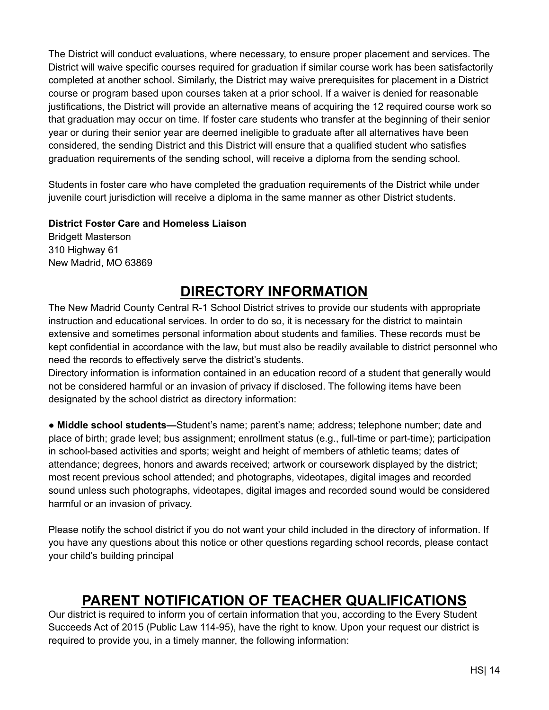The District will conduct evaluations, where necessary, to ensure proper placement and services. The District will waive specific courses required for graduation if similar course work has been satisfactorily completed at another school. Similarly, the District may waive prerequisites for placement in a District course or program based upon courses taken at a prior school. If a waiver is denied for reasonable justifications, the District will provide an alternative means of acquiring the 12 required course work so that graduation may occur on time. If foster care students who transfer at the beginning of their senior year or during their senior year are deemed ineligible to graduate after all alternatives have been considered, the sending District and this District will ensure that a qualified student who satisfies graduation requirements of the sending school, will receive a diploma from the sending school.

Students in foster care who have completed the graduation requirements of the District while under juvenile court jurisdiction will receive a diploma in the same manner as other District students.

#### **District Foster Care and Homeless Liaison**

Bridgett Masterson 310 Highway 61 New Madrid, MO 63869

# **DIRECTORY INFORMATION**

<span id="page-14-0"></span>The New Madrid County Central R-1 School District strives to provide our students with appropriate instruction and educational services. In order to do so, it is necessary for the district to maintain extensive and sometimes personal information about students and families. These records must be kept confidential in accordance with the law, but must also be readily available to district personnel who need the records to effectively serve the district's students.

Directory information is information contained in an education record of a student that generally would not be considered harmful or an invasion of privacy if disclosed. The following items have been designated by the school district as directory information:

● **Middle school students—**Student's name; parent's name; address; telephone number; date and place of birth; grade level; bus assignment; enrollment status (e.g., full-time or part-time); participation in school-based activities and sports; weight and height of members of athletic teams; dates of attendance; degrees, honors and awards received; artwork or coursework displayed by the district; most recent previous school attended; and photographs, videotapes, digital images and recorded sound unless such photographs, videotapes, digital images and recorded sound would be considered harmful or an invasion of privacy.

Please notify the school district if you do not want your child included in the directory of information. If you have any questions about this notice or other questions regarding school records, please contact your child's building principal

# **PARENT NOTIFICATION OF TEACHER QUALIFICATIONS**

<span id="page-14-1"></span>Our district is required to inform you of certain information that you, according to the Every Student Succeeds Act of 2015 (Public Law 114-95), have the right to know. Upon your request our district is required to provide you, in a timely manner, the following information: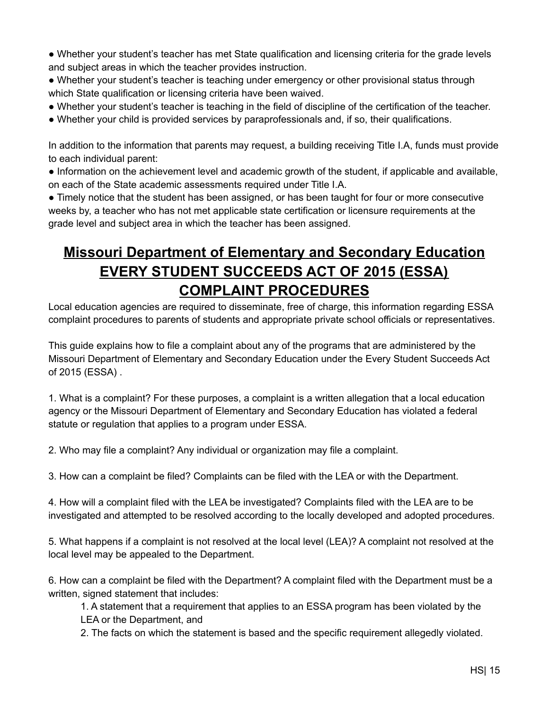● Whether your student's teacher has met State qualification and licensing criteria for the grade levels and subject areas in which the teacher provides instruction.

- Whether your student's teacher is teaching under emergency or other provisional status through which State qualification or licensing criteria have been waived.
- Whether your student's teacher is teaching in the field of discipline of the certification of the teacher.
- Whether your child is provided services by paraprofessionals and, if so, their qualifications.

In addition to the information that parents may request, a building receiving Title I.A, funds must provide to each individual parent:

● Information on the achievement level and academic growth of the student, if applicable and available, on each of the State academic assessments required under Title I.A.

• Timely notice that the student has been assigned, or has been taught for four or more consecutive weeks by, a teacher who has not met applicable state certification or licensure requirements at the grade level and subject area in which the teacher has been assigned.

# <span id="page-15-0"></span>**Missouri Department of Elementary and Secondary Education EVERY STUDENT SUCCEEDS ACT OF 2015 (ESSA) COMPLAINT PROCEDURES**

Local education agencies are required to disseminate, free of charge, this information regarding ESSA complaint procedures to parents of students and appropriate private school officials or representatives.

This guide explains how to file a complaint about any of the programs that are administered by the Missouri Department of Elementary and Secondary Education under the Every Student Succeeds Act of 2015 (ESSA) .

1. What is a complaint? For these purposes, a complaint is a written allegation that a local education agency or the Missouri Department of Elementary and Secondary Education has violated a federal statute or regulation that applies to a program under ESSA.

2. Who may file a complaint? Any individual or organization may file a complaint.

3. How can a complaint be filed? Complaints can be filed with the LEA or with the Department.

4. How will a complaint filed with the LEA be investigated? Complaints filed with the LEA are to be investigated and attempted to be resolved according to the locally developed and adopted procedures.

5. What happens if a complaint is not resolved at the local level (LEA)? A complaint not resolved at the local level may be appealed to the Department.

6. How can a complaint be filed with the Department? A complaint filed with the Department must be a written, signed statement that includes:

1. A statement that a requirement that applies to an ESSA program has been violated by the LEA or the Department, and

2. The facts on which the statement is based and the specific requirement allegedly violated.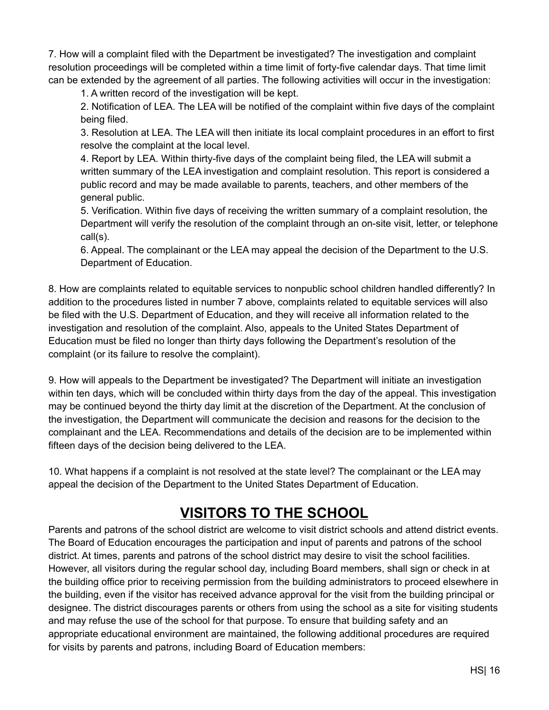7. How will a complaint filed with the Department be investigated? The investigation and complaint resolution proceedings will be completed within a time limit of forty-five calendar days. That time limit can be extended by the agreement of all parties. The following activities will occur in the investigation:

1. A written record of the investigation will be kept.

2. Notification of LEA. The LEA will be notified of the complaint within five days of the complaint being filed.

3. Resolution at LEA. The LEA will then initiate its local complaint procedures in an effort to first resolve the complaint at the local level.

4. Report by LEA. Within thirty-five days of the complaint being filed, the LEA will submit a written summary of the LEA investigation and complaint resolution. This report is considered a public record and may be made available to parents, teachers, and other members of the general public.

5. Verification. Within five days of receiving the written summary of a complaint resolution, the Department will verify the resolution of the complaint through an on-site visit, letter, or telephone call(s).

6. Appeal. The complainant or the LEA may appeal the decision of the Department to the U.S. Department of Education.

8. How are complaints related to equitable services to nonpublic school children handled differently? In addition to the procedures listed in number 7 above, complaints related to equitable services will also be filed with the U.S. Department of Education, and they will receive all information related to the investigation and resolution of the complaint. Also, appeals to the United States Department of Education must be filed no longer than thirty days following the Department's resolution of the complaint (or its failure to resolve the complaint).

9. How will appeals to the Department be investigated? The Department will initiate an investigation within ten days, which will be concluded within thirty days from the day of the appeal. This investigation may be continued beyond the thirty day limit at the discretion of the Department. At the conclusion of the investigation, the Department will communicate the decision and reasons for the decision to the complainant and the LEA. Recommendations and details of the decision are to be implemented within fifteen days of the decision being delivered to the LEA.

10. What happens if a complaint is not resolved at the state level? The complainant or the LEA may appeal the decision of the Department to the United States Department of Education.

# **VISITORS TO THE SCHOOL**

<span id="page-16-0"></span>Parents and patrons of the school district are welcome to visit district schools and attend district events. The Board of Education encourages the participation and input of parents and patrons of the school district. At times, parents and patrons of the school district may desire to visit the school facilities. However, all visitors during the regular school day, including Board members, shall sign or check in at the building office prior to receiving permission from the building administrators to proceed elsewhere in the building, even if the visitor has received advance approval for the visit from the building principal or designee. The district discourages parents or others from using the school as a site for visiting students and may refuse the use of the school for that purpose. To ensure that building safety and an appropriate educational environment are maintained, the following additional procedures are required for visits by parents and patrons, including Board of Education members: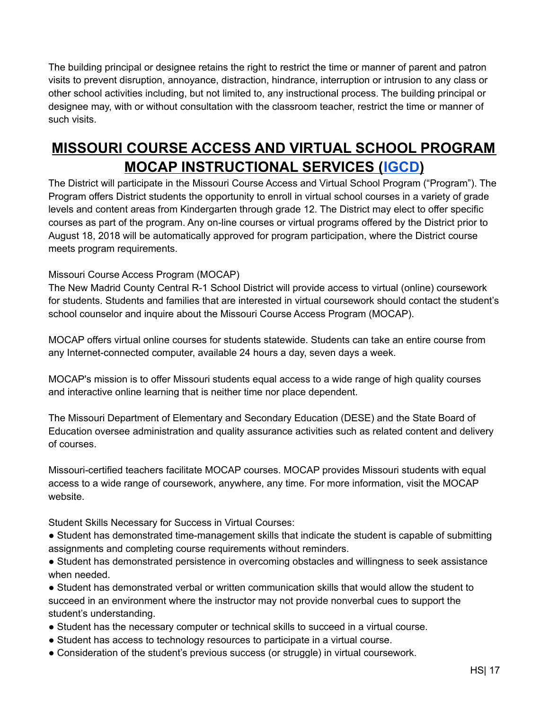The building principal or designee retains the right to restrict the time or manner of parent and patron visits to prevent disruption, annoyance, distraction, hindrance, interruption or intrusion to any class or other school activities including, but not limited to, any instructional process. The building principal or designee may, with or without consultation with the classroom teacher, restrict the time or manner of such visits.

# <span id="page-17-0"></span>**MISSOURI COURSE ACCESS AND VIRTUAL SCHOOL PROGRAM MOCAP INSTRUCTIONAL SERVICES ([IGCD](https://simbli.eboardsolutions.com/Policy/ViewPolicy.aspx?S=327&revid=EALFCRheXMBfcuhmy4MU4g==&PG=6&st=mocap&mt=Exact))**

The District will participate in the Missouri Course Access and Virtual School Program ("Program"). The Program offers District students the opportunity to enroll in virtual school courses in a variety of grade levels and content areas from Kindergarten through grade 12. The District may elect to offer specific courses as part of the program. Any on-line courses or virtual programs offered by the District prior to August 18, 2018 will be automatically approved for program participation, where the District course meets program requirements.

#### Missouri Course Access Program (MOCAP)

The New Madrid County Central R-1 School District will provide access to virtual (online) coursework for students. Students and families that are interested in virtual coursework should contact the student's school counselor and inquire about the Missouri Course Access Program (MOCAP).

MOCAP offers virtual online courses for students statewide. Students can take an entire course from any Internet-connected computer, available 24 hours a day, seven days a week.

MOCAP's mission is to offer Missouri students equal access to a wide range of high quality courses and interactive online learning that is neither time nor place dependent.

The Missouri Department of Elementary and Secondary Education (DESE) and the State Board of Education oversee administration and quality assurance activities such as related content and delivery of courses.

Missouri-certified teachers facilitate MOCAP courses. MOCAP provides Missouri students with equal access to a wide range of coursework, anywhere, any time. For more information, visit the MOCAP website.

Student Skills Necessary for Success in Virtual Courses:

● Student has demonstrated time-management skills that indicate the student is capable of submitting assignments and completing course requirements without reminders.

● Student has demonstrated persistence in overcoming obstacles and willingness to seek assistance when needed.

● Student has demonstrated verbal or written communication skills that would allow the student to succeed in an environment where the instructor may not provide nonverbal cues to support the student's understanding.

- Student has the necessary computer or technical skills to succeed in a virtual course.
- Student has access to technology resources to participate in a virtual course.
- Consideration of the student's previous success (or struggle) in virtual coursework.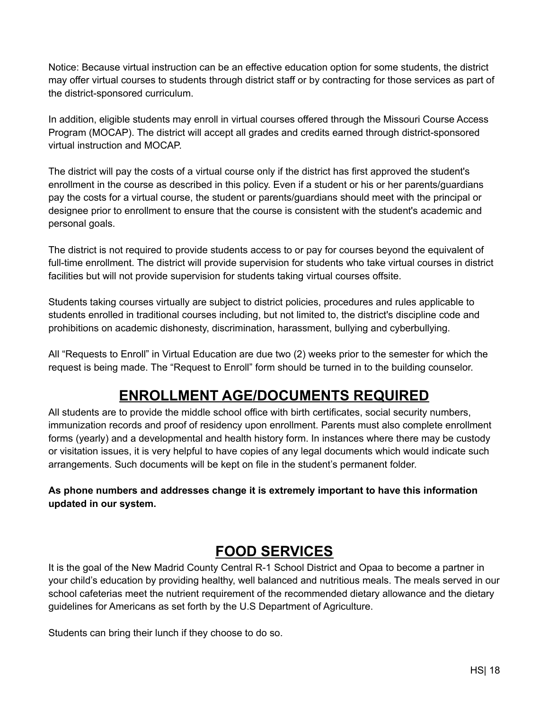Notice: Because virtual instruction can be an effective education option for some students, the district may offer virtual courses to students through district staff or by contracting for those services as part of the district-sponsored curriculum.

In addition, eligible students may enroll in virtual courses offered through the Missouri Course Access Program (MOCAP). The district will accept all grades and credits earned through district-sponsored virtual instruction and MOCAP.

The district will pay the costs of a virtual course only if the district has first approved the student's enrollment in the course as described in this policy. Even if a student or his or her parents/guardians pay the costs for a virtual course, the student or parents/guardians should meet with the principal or designee prior to enrollment to ensure that the course is consistent with the student's academic and personal goals.

The district is not required to provide students access to or pay for courses beyond the equivalent of full-time enrollment. The district will provide supervision for students who take virtual courses in district facilities but will not provide supervision for students taking virtual courses offsite.

Students taking courses virtually are subject to district policies, procedures and rules applicable to students enrolled in traditional courses including, but not limited to, the district's discipline code and prohibitions on academic dishonesty, discrimination, harassment, bullying and cyberbullying.

All "Requests to Enroll" in Virtual Education are due two (2) weeks prior to the semester for which the request is being made. The "Request to Enroll" form should be turned in to the building counselor.

#### **ENROLLMENT AGE/DOCUMENTS REQUIRED**

<span id="page-18-0"></span>All students are to provide the middle school office with birth certificates, social security numbers, immunization records and proof of residency upon enrollment. Parents must also complete enrollment forms (yearly) and a developmental and health history form. In instances where there may be custody or visitation issues, it is very helpful to have copies of any legal documents which would indicate such arrangements. Such documents will be kept on file in the student's permanent folder.

**As phone numbers and addresses change it is extremely important to have this information updated in our system.**

#### **FOOD SERVICES**

<span id="page-18-1"></span>It is the goal of the New Madrid County Central R-1 School District and Opaa to become a partner in your child's education by providing healthy, well balanced and nutritious meals. The meals served in our school cafeterias meet the nutrient requirement of the recommended dietary allowance and the dietary guidelines for Americans as set forth by the U.S Department of Agriculture.

Students can bring their lunch if they choose to do so.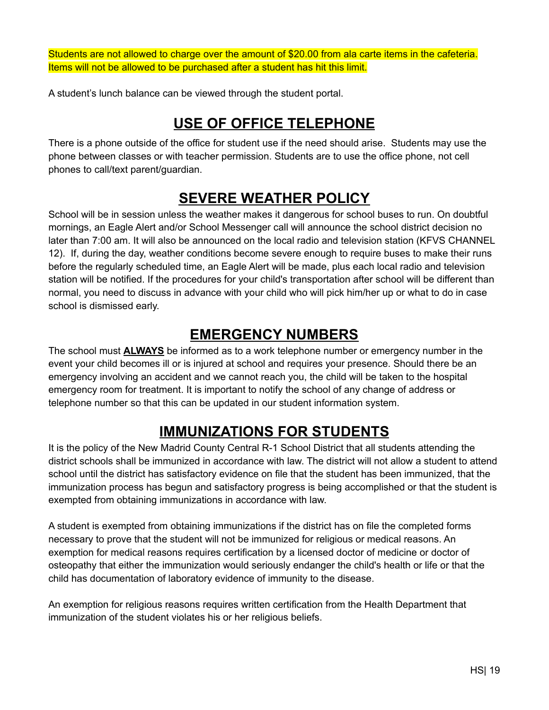Students are not allowed to charge over the amount of \$20.00 from ala carte items in the cafeteria. Items will not be allowed to be purchased after a student has hit this limit.

<span id="page-19-0"></span>A student's lunch balance can be viewed through the student portal.

#### **USE OF OFFICE TELEPHONE**

There is a phone outside of the office for student use if the need should arise. Students may use the phone between classes or with teacher permission. Students are to use the office phone, not cell phones to call/text parent/guardian.

# **SEVERE WEATHER POLICY**

<span id="page-19-1"></span>School will be in session unless the weather makes it dangerous for school buses to run. On doubtful mornings, an Eagle Alert and/or School Messenger call will announce the school district decision no later than 7:00 am. It will also be announced on the local radio and television station (KFVS CHANNEL 12). If, during the day, weather conditions become severe enough to require buses to make their runs before the regularly scheduled time, an Eagle Alert will be made, plus each local radio and television station will be notified. If the procedures for your child's transportation after school will be different than normal, you need to discuss in advance with your child who will pick him/her up or what to do in case school is dismissed early.

#### **EMERGENCY NUMBERS**

<span id="page-19-2"></span>The school must **ALWAYS** be informed as to a work telephone number or emergency number in the event your child becomes ill or is injured at school and requires your presence. Should there be an emergency involving an accident and we cannot reach you, the child will be taken to the hospital emergency room for treatment. It is important to notify the school of any change of address or telephone number so that this can be updated in our student information system.

# **IMMUNIZATIONS FOR STUDENTS**

<span id="page-19-3"></span>It is the policy of the New Madrid County Central R-1 School District that all students attending the district schools shall be immunized in accordance with law. The district will not allow a student to attend school until the district has satisfactory evidence on file that the student has been immunized, that the immunization process has begun and satisfactory progress is being accomplished or that the student is exempted from obtaining immunizations in accordance with law.

A student is exempted from obtaining immunizations if the district has on file the completed forms necessary to prove that the student will not be immunized for religious or medical reasons. An exemption for medical reasons requires certification by a licensed doctor of medicine or doctor of osteopathy that either the immunization would seriously endanger the child's health or life or that the child has documentation of laboratory evidence of immunity to the disease.

An exemption for religious reasons requires written certification from the Health Department that immunization of the student violates his or her religious beliefs.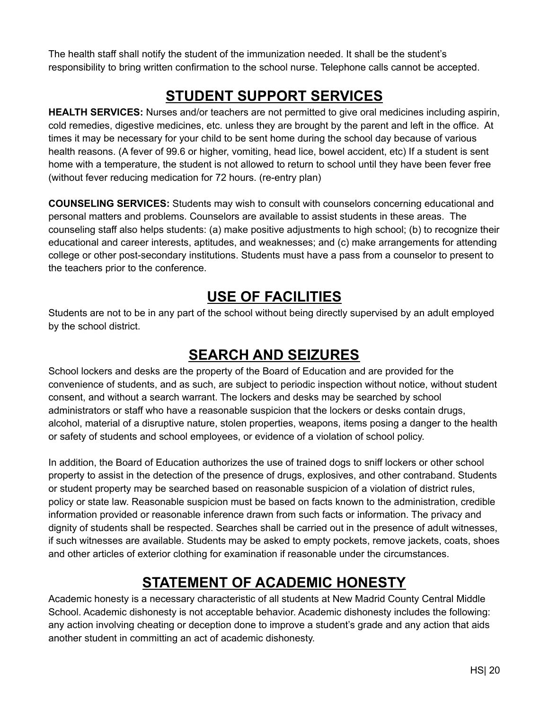The health staff shall notify the student of the immunization needed. It shall be the student's responsibility to bring written confirmation to the school nurse. Telephone calls cannot be accepted.

# **STUDENT SUPPORT SERVICES**

<span id="page-20-0"></span>**HEALTH SERVICES:** Nurses and/or teachers are not permitted to give oral medicines including aspirin, cold remedies, digestive medicines, etc. unless they are brought by the parent and left in the office. At times it may be necessary for your child to be sent home during the school day because of various health reasons. (A fever of 99.6 or higher, vomiting, head lice, bowel accident, etc) If a student is sent home with a temperature, the student is not allowed to return to school until they have been fever free (without fever reducing medication for 72 hours. (re-entry plan)

**COUNSELING SERVICES:** Students may wish to consult with counselors concerning educational and personal matters and problems. Counselors are available to assist students in these areas. The counseling staff also helps students: (a) make positive adjustments to high school; (b) to recognize their educational and career interests, aptitudes, and weaknesses; and (c) make arrangements for attending college or other post-secondary institutions. Students must have a pass from a counselor to present to the teachers prior to the conference.

#### **USE OF FACILITIES**

<span id="page-20-1"></span>Students are not to be in any part of the school without being directly supervised by an adult employed by the school district.

#### **SEARCH AND SEIZURES**

<span id="page-20-2"></span>School lockers and desks are the property of the Board of Education and are provided for the convenience of students, and as such, are subject to periodic inspection without notice, without student consent, and without a search warrant. The lockers and desks may be searched by school administrators or staff who have a reasonable suspicion that the lockers or desks contain drugs, alcohol, material of a disruptive nature, stolen properties, weapons, items posing a danger to the health or safety of students and school employees, or evidence of a violation of school policy.

In addition, the Board of Education authorizes the use of trained dogs to sniff lockers or other school property to assist in the detection of the presence of drugs, explosives, and other contraband. Students or student property may be searched based on reasonable suspicion of a violation of district rules, policy or state law. Reasonable suspicion must be based on facts known to the administration, credible information provided or reasonable inference drawn from such facts or information. The privacy and dignity of students shall be respected. Searches shall be carried out in the presence of adult witnesses, if such witnesses are available. Students may be asked to empty pockets, remove jackets, coats, shoes and other articles of exterior clothing for examination if reasonable under the circumstances.

# **STATEMENT OF ACADEMIC HONESTY**

<span id="page-20-3"></span>Academic honesty is a necessary characteristic of all students at New Madrid County Central Middle School. Academic dishonesty is not acceptable behavior. Academic dishonesty includes the following: any action involving cheating or deception done to improve a student's grade and any action that aids another student in committing an act of academic dishonesty.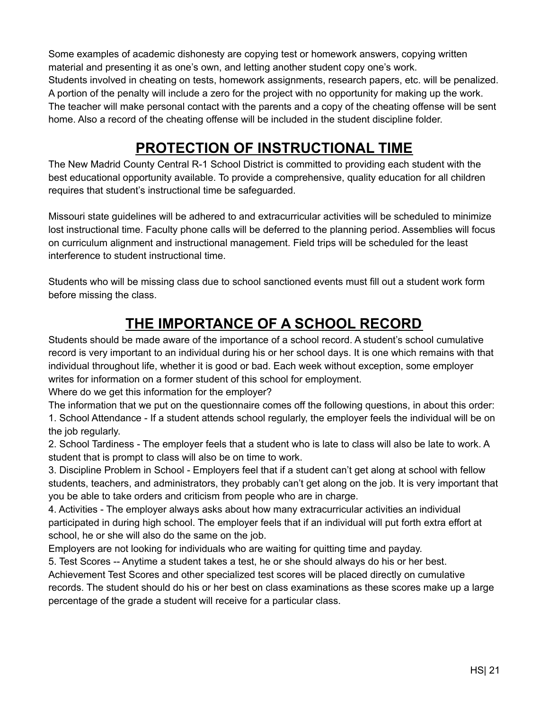Some examples of academic dishonesty are copying test or homework answers, copying written material and presenting it as one's own, and letting another student copy one's work. Students involved in cheating on tests, homework assignments, research papers, etc. will be penalized. A portion of the penalty will include a zero for the project with no opportunity for making up the work. The teacher will make personal contact with the parents and a copy of the cheating offense will be sent home. Also a record of the cheating offense will be included in the student discipline folder.

# **PROTECTION OF INSTRUCTIONAL TIME**

<span id="page-21-0"></span>The New Madrid County Central R-1 School District is committed to providing each student with the best educational opportunity available. To provide a comprehensive, quality education for all children requires that student's instructional time be safeguarded.

Missouri state guidelines will be adhered to and extracurricular activities will be scheduled to minimize lost instructional time. Faculty phone calls will be deferred to the planning period. Assemblies will focus on curriculum alignment and instructional management. Field trips will be scheduled for the least interference to student instructional time.

Students who will be missing class due to school sanctioned events must fill out a student work form before missing the class.

# **THE IMPORTANCE OF A SCHOOL RECORD**

<span id="page-21-1"></span>Students should be made aware of the importance of a school record. A student's school cumulative record is very important to an individual during his or her school days. It is one which remains with that individual throughout life, whether it is good or bad. Each week without exception, some employer writes for information on a former student of this school for employment.

Where do we get this information for the employer?

The information that we put on the questionnaire comes off the following questions, in about this order: 1. School Attendance - If a student attends school regularly, the employer feels the individual will be on the job regularly.

2. School Tardiness - The employer feels that a student who is late to class will also be late to work. A student that is prompt to class will also be on time to work.

3. Discipline Problem in School - Employers feel that if a student can't get along at school with fellow students, teachers, and administrators, they probably can't get along on the job. It is very important that you be able to take orders and criticism from people who are in charge.

4. Activities - The employer always asks about how many extracurricular activities an individual participated in during high school. The employer feels that if an individual will put forth extra effort at school, he or she will also do the same on the job.

Employers are not looking for individuals who are waiting for quitting time and payday.

5. Test Scores -- Anytime a student takes a test, he or she should always do his or her best.

Achievement Test Scores and other specialized test scores will be placed directly on cumulative records. The student should do his or her best on class examinations as these scores make up a large percentage of the grade a student will receive for a particular class.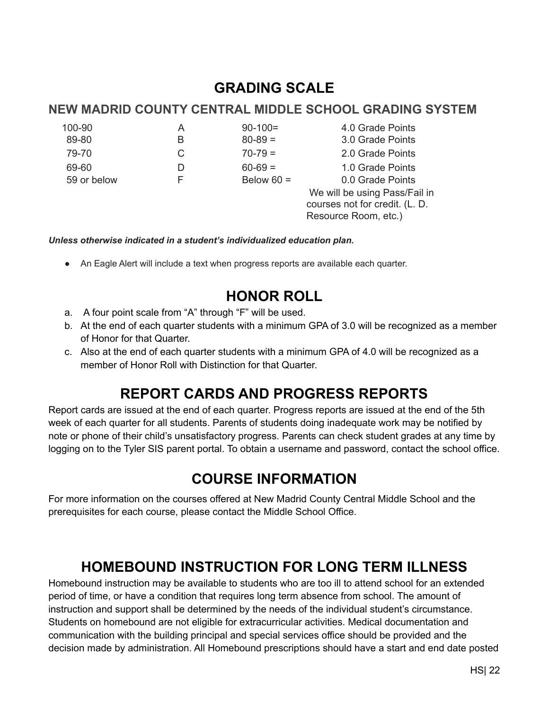#### **GRADING SCALE**

#### <span id="page-22-0"></span>**NEW MADRID COUNTY CENTRAL MIDDLE SCHOOL GRADING SYSTEM**

| 100-90 |  |
|--------|--|
| 89-80  |  |
| 79-70  |  |
| 69-60  |  |

A 90-100= 4.0 Grade Points B 80-89 = 3.0 Grade Points  $C \t 70-79 = 2.0$  Grade Points D 60-69 = 1.0 Grade Points 59 or below F Below 60 = 0.0 Grade Points We will be using Pass/Fail in courses not for credit. (L. D. Resource Room, etc.)

*Unless otherwise indicated in a student's individualized education plan.*

• An Eagle Alert will include a text when progress reports are available each quarter.

# **HONOR ROLL**

- <span id="page-22-1"></span>a. A four point scale from "A" through "F" will be used.
- b. At the end of each quarter students with a minimum GPA of 3.0 will be recognized as a member of Honor for that Quarter.
- c. Also at the end of each quarter students with a minimum GPA of 4.0 will be recognized as a member of Honor Roll with Distinction for that Quarter.

# **REPORT CARDS AND PROGRESS REPORTS**

<span id="page-22-2"></span>Report cards are issued at the end of each quarter. Progress reports are issued at the end of the 5th week of each quarter for all students. Parents of students doing inadequate work may be notified by note or phone of their child's unsatisfactory progress. Parents can check student grades at any time by logging on to the Tyler SIS parent portal. To obtain a username and password, contact the school office.

# **COURSE INFORMATION**

<span id="page-22-3"></span>For more information on the courses offered at New Madrid County Central Middle School and the prerequisites for each course, please contact the Middle School Office.

# **HOMEBOUND INSTRUCTION FOR LONG TERM ILLNESS**

<span id="page-22-4"></span>Homebound instruction may be available to students who are too ill to attend school for an extended period of time, or have a condition that requires long term absence from school. The amount of instruction and support shall be determined by the needs of the individual student's circumstance. Students on homebound are not eligible for extracurricular activities. Medical documentation and communication with the building principal and special services office should be provided and the decision made by administration. All Homebound prescriptions should have a start and end date posted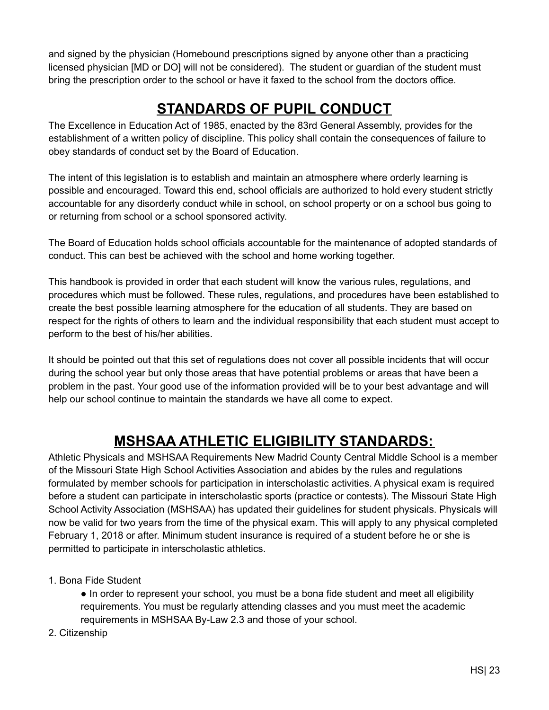and signed by the physician (Homebound prescriptions signed by anyone other than a practicing licensed physician [MD or DO] will not be considered). The student or guardian of the student must bring the prescription order to the school or have it faxed to the school from the doctors office.

# **STANDARDS OF PUPIL CONDUCT**

<span id="page-23-0"></span>The Excellence in Education Act of 1985, enacted by the 83rd General Assembly, provides for the establishment of a written policy of discipline. This policy shall contain the consequences of failure to obey standards of conduct set by the Board of Education.

The intent of this legislation is to establish and maintain an atmosphere where orderly learning is possible and encouraged. Toward this end, school officials are authorized to hold every student strictly accountable for any disorderly conduct while in school, on school property or on a school bus going to or returning from school or a school sponsored activity.

The Board of Education holds school officials accountable for the maintenance of adopted standards of conduct. This can best be achieved with the school and home working together.

This handbook is provided in order that each student will know the various rules, regulations, and procedures which must be followed. These rules, regulations, and procedures have been established to create the best possible learning atmosphere for the education of all students. They are based on respect for the rights of others to learn and the individual responsibility that each student must accept to perform to the best of his/her abilities.

It should be pointed out that this set of regulations does not cover all possible incidents that will occur during the school year but only those areas that have potential problems or areas that have been a problem in the past. Your good use of the information provided will be to your best advantage and will help our school continue to maintain the standards we have all come to expect.

# **MSHSAA ATHLETIC ELIGIBILITY STANDARDS:**

<span id="page-23-1"></span>Athletic Physicals and MSHSAA Requirements New Madrid County Central Middle School is a member of the Missouri State High School Activities Association and abides by the rules and regulations formulated by member schools for participation in interscholastic activities. A physical exam is required before a student can participate in interscholastic sports (practice or contests). The Missouri State High School Activity Association (MSHSAA) has updated their guidelines for student physicals. Physicals will now be valid for two years from the time of the physical exam. This will apply to any physical completed February 1, 2018 or after. Minimum student insurance is required of a student before he or she is permitted to participate in interscholastic athletics.

1. Bona Fide Student

• In order to represent your school, you must be a bona fide student and meet all eligibility requirements. You must be regularly attending classes and you must meet the academic requirements in MSHSAA By-Law 2.3 and those of your school.

2. Citizenship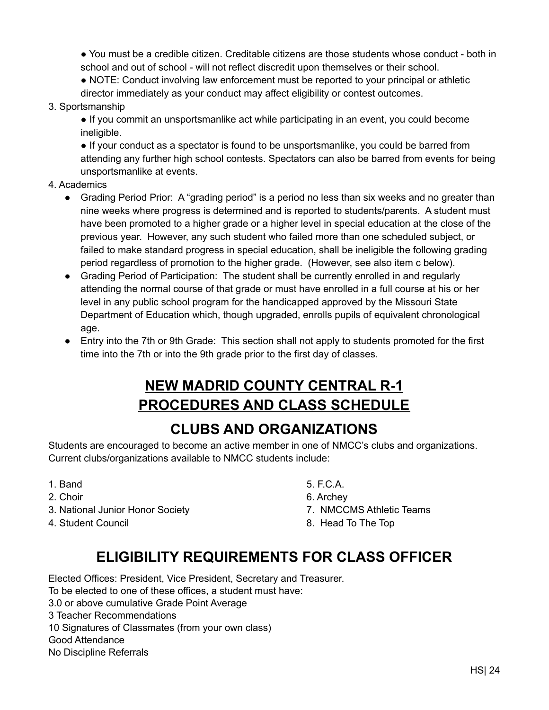● You must be a credible citizen. Creditable citizens are those students whose conduct - both in school and out of school - will not reflect discredit upon themselves or their school.

● NOTE: Conduct involving law enforcement must be reported to your principal or athletic director immediately as your conduct may affect eligibility or contest outcomes.

#### 3. Sportsmanship

● If you commit an unsportsmanlike act while participating in an event, you could become ineligible.

● If your conduct as a spectator is found to be unsportsmanlike, you could be barred from attending any further high school contests. Spectators can also be barred from events for being unsportsmanlike at events.

#### 4. Academics

- Grading Period Prior: A "grading period" is a period no less than six weeks and no greater than nine weeks where progress is determined and is reported to students/parents. A student must have been promoted to a higher grade or a higher level in special education at the close of the previous year. However, any such student who failed more than one scheduled subject, or failed to make standard progress in special education, shall be ineligible the following grading period regardless of promotion to the higher grade. (However, see also item c below).
- Grading Period of Participation: The student shall be currently enrolled in and regularly attending the normal course of that grade or must have enrolled in a full course at his or her level in any public school program for the handicapped approved by the Missouri State Department of Education which, though upgraded, enrolls pupils of equivalent chronological age.
- Entry into the 7th or 9th Grade: This section shall not apply to students promoted for the first time into the 7th or into the 9th grade prior to the first day of classes.

# **NEW MADRID COUNTY CENTRAL R-1 PROCEDURES AND CLASS SCHEDULE**

#### **CLUBS AND ORGANIZATIONS**

<span id="page-24-1"></span><span id="page-24-0"></span>Students are encouraged to become an active member in one of NMCC's clubs and organizations. Current clubs/organizations available to NMCC students include:

- 
- 
- 3. National Junior Honor Society 7. NMCCMS Athletic Teams
- 

1. Band 5. F.C.A.

- 2. Choir 6. Archey
	-
- <span id="page-24-2"></span>4. Student Council 8. Head To The Top

# **ELIGIBILITY REQUIREMENTS FOR CLASS OFFICER**

Elected Offices: President, Vice President, Secretary and Treasurer. To be elected to one of these offices, a student must have: 3.0 or above cumulative Grade Point Average 3 Teacher Recommendations 10 Signatures of Classmates (from your own class) Good Attendance No Discipline Referrals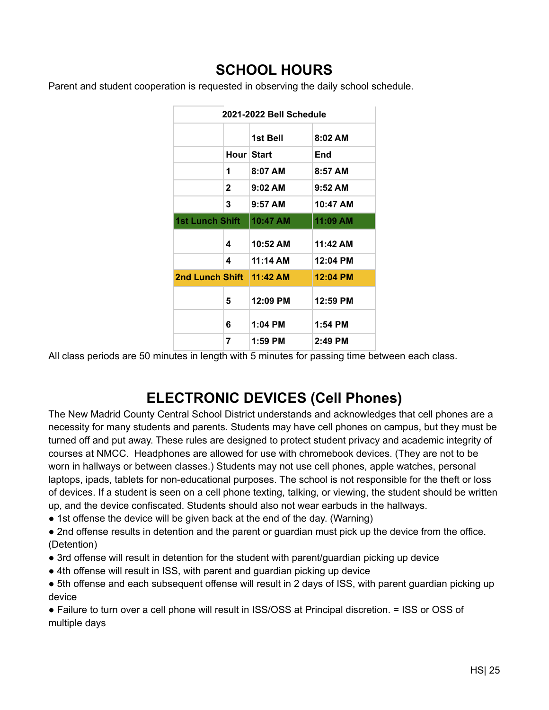#### **SCHOOL HOURS**

<span id="page-25-0"></span>Parent and student cooperation is requested in observing the daily school schedule.

| 2021-2022 Bell Schedule |              |            |           |
|-------------------------|--------------|------------|-----------|
|                         |              | 1st Bell   | $8:02$ AM |
|                         | Hour Start   |            | End       |
|                         | 1            | $8:07$ AM  | 8:57 AM   |
|                         | $\mathbf{2}$ | 9:02AM     | $9:52$ AM |
|                         | 3            | 9:57 AM    | 10:47 AM  |
| <b>1st Lunch Shift</b>  |              | 10:47 AM   | 11:09 AM  |
|                         | 4            | $10:52$ AM | 11:42 AM  |
|                         | 4            | 11:14 AM   | 12:04 PM  |
| 2nd Lunch Shift         |              | 11:42 AM   | 12:04 PM  |
|                         | 5            | $12:09$ PM | 12:59 PM  |
|                         | 6            | $1:04$ PM  | 1:54 PM   |
|                         | 7            | $1:59$ PM  | 2:49 PM   |

All class periods are 50 minutes in length with 5 minutes for passing time between each class.

# **ELECTRONIC DEVICES (Cell Phones)**

<span id="page-25-1"></span>The New Madrid County Central School District understands and acknowledges that cell phones are a necessity for many students and parents. Students may have cell phones on campus, but they must be turned off and put away. These rules are designed to protect student privacy and academic integrity of courses at NMCC. Headphones are allowed for use with chromebook devices. (They are not to be worn in hallways or between classes.) Students may not use cell phones, apple watches, personal laptops, ipads, tablets for non-educational purposes. The school is not responsible for the theft or loss of devices. If a student is seen on a cell phone texting, talking, or viewing, the student should be written up, and the device confiscated. Students should also not wear earbuds in the hallways.

• 1st offense the device will be given back at the end of the day. (Warning)

• 2nd offense results in detention and the parent or guardian must pick up the device from the office. (Detention)

- 3rd offense will result in detention for the student with parent/guardian picking up device
- 4th offense will result in ISS, with parent and guardian picking up device

• 5th offense and each subsequent offense will result in 2 days of ISS, with parent quardian picking up device

● Failure to turn over a cell phone will result in ISS/OSS at Principal discretion. = ISS or OSS of multiple days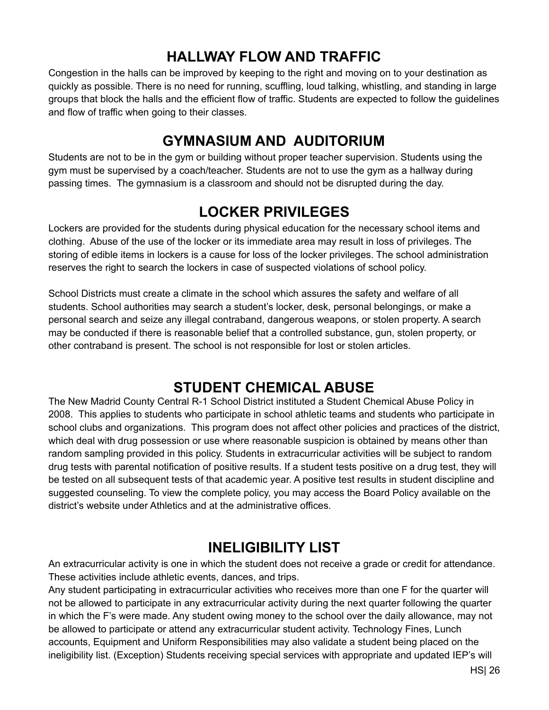# **HALLWAY FLOW AND TRAFFIC**

<span id="page-26-0"></span>Congestion in the halls can be improved by keeping to the right and moving on to your destination as quickly as possible. There is no need for running, scuffling, loud talking, whistling, and standing in large groups that block the halls and the efficient flow of traffic. Students are expected to follow the guidelines and flow of traffic when going to their classes.

#### **GYMNASIUM AND AUDITORIUM**

<span id="page-26-1"></span>Students are not to be in the gym or building without proper teacher supervision. Students using the gym must be supervised by a coach/teacher. Students are not to use the gym as a hallway during passing times. The gymnasium is a classroom and should not be disrupted during the day.

# **LOCKER PRIVILEGES**

<span id="page-26-2"></span>Lockers are provided for the students during physical education for the necessary school items and clothing. Abuse of the use of the locker or its immediate area may result in loss of privileges. The storing of edible items in lockers is a cause for loss of the locker privileges. The school administration reserves the right to search the lockers in case of suspected violations of school policy.

School Districts must create a climate in the school which assures the safety and welfare of all students. School authorities may search a student's locker, desk, personal belongings, or make a personal search and seize any illegal contraband, dangerous weapons, or stolen property. A search may be conducted if there is reasonable belief that a controlled substance, gun, stolen property, or other contraband is present. The school is not responsible for lost or stolen articles.

#### **STUDENT CHEMICAL ABUSE**

<span id="page-26-3"></span>The New Madrid County Central R-1 School District instituted a Student Chemical Abuse Policy in 2008. This applies to students who participate in school athletic teams and students who participate in school clubs and organizations. This program does not affect other policies and practices of the district, which deal with drug possession or use where reasonable suspicion is obtained by means other than random sampling provided in this policy. Students in extracurricular activities will be subject to random drug tests with parental notification of positive results. If a student tests positive on a drug test, they will be tested on all subsequent tests of that academic year. A positive test results in student discipline and suggested counseling. To view the complete policy, you may access the Board Policy available on the district's website under Athletics and at the administrative offices.

#### **INELIGIBILITY LIST**

<span id="page-26-4"></span>An extracurricular activity is one in which the student does not receive a grade or credit for attendance. These activities include athletic events, dances, and trips.

Any student participating in extracurricular activities who receives more than one F for the quarter will not be allowed to participate in any extracurricular activity during the next quarter following the quarter in which the F's were made. Any student owing money to the school over the daily allowance, may not be allowed to participate or attend any extracurricular student activity. Technology Fines, Lunch accounts, Equipment and Uniform Responsibilities may also validate a student being placed on the ineligibility list. (Exception) Students receiving special services with appropriate and updated IEP's will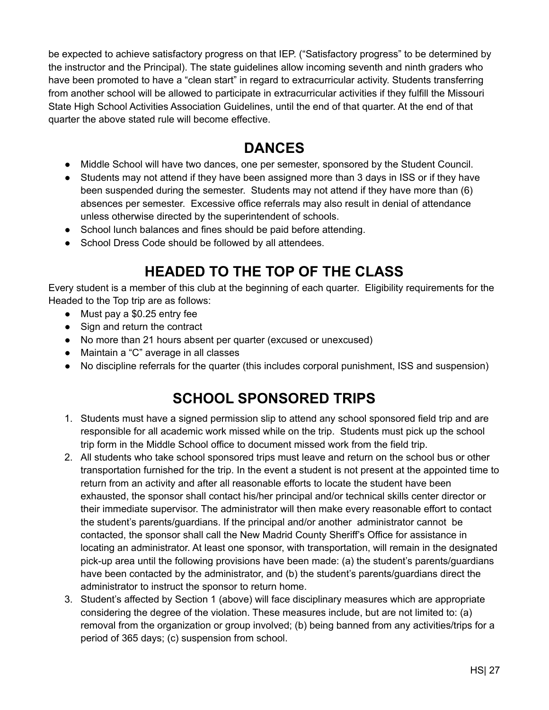be expected to achieve satisfactory progress on that IEP. ("Satisfactory progress" to be determined by the instructor and the Principal). The state guidelines allow incoming seventh and ninth graders who have been promoted to have a "clean start" in regard to extracurricular activity. Students transferring from another school will be allowed to participate in extracurricular activities if they fulfill the Missouri State High School Activities Association Guidelines, until the end of that quarter. At the end of that quarter the above stated rule will become effective.

#### **DANCES**

- <span id="page-27-0"></span>• Middle School will have two dances, one per semester, sponsored by the Student Council.
- Students may not attend if they have been assigned more than 3 days in ISS or if they have been suspended during the semester. Students may not attend if they have more than (6) absences per semester. Excessive office referrals may also result in denial of attendance unless otherwise directed by the superintendent of schools.
- School lunch balances and fines should be paid before attending.
- School Dress Code should be followed by all attendees.

# **HEADED TO THE TOP OF THE CLASS**

Every student is a member of this club at the beginning of each quarter. Eligibility requirements for the Headed to the Top trip are as follows:

- Must pay a \$0.25 entry fee
- Sign and return the contract
- No more than 21 hours absent per quarter (excused or unexcused)
- Maintain a "C" average in all classes
- <span id="page-27-1"></span>● No discipline referrals for the quarter (this includes corporal punishment, ISS and suspension)

#### **SCHOOL SPONSORED TRIPS**

- 1. Students must have a signed permission slip to attend any school sponsored field trip and are responsible for all academic work missed while on the trip. Students must pick up the school trip form in the Middle School office to document missed work from the field trip.
- 2. All students who take school sponsored trips must leave and return on the school bus or other transportation furnished for the trip. In the event a student is not present at the appointed time to return from an activity and after all reasonable efforts to locate the student have been exhausted, the sponsor shall contact his/her principal and/or technical skills center director or their immediate supervisor. The administrator will then make every reasonable effort to contact the student's parents/guardians. If the principal and/or another administrator cannot be contacted, the sponsor shall call the New Madrid County Sheriff's Office for assistance in locating an administrator. At least one sponsor, with transportation, will remain in the designated pick-up area until the following provisions have been made: (a) the student's parents/guardians have been contacted by the administrator, and (b) the student's parents/guardians direct the administrator to instruct the sponsor to return home.
- 3. Student's affected by Section 1 (above) will face disciplinary measures which are appropriate considering the degree of the violation. These measures include, but are not limited to: (a) removal from the organization or group involved; (b) being banned from any activities/trips for a period of 365 days; (c) suspension from school.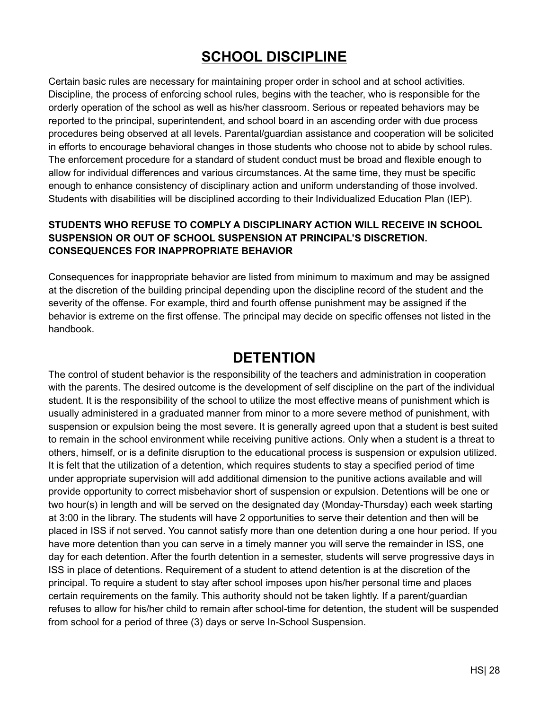# **SCHOOL DISCIPLINE**

<span id="page-28-0"></span>Certain basic rules are necessary for maintaining proper order in school and at school activities. Discipline, the process of enforcing school rules, begins with the teacher, who is responsible for the orderly operation of the school as well as his/her classroom. Serious or repeated behaviors may be reported to the principal, superintendent, and school board in an ascending order with due process procedures being observed at all levels. Parental/guardian assistance and cooperation will be solicited in efforts to encourage behavioral changes in those students who choose not to abide by school rules. The enforcement procedure for a standard of student conduct must be broad and flexible enough to allow for individual differences and various circumstances. At the same time, they must be specific enough to enhance consistency of disciplinary action and uniform understanding of those involved. Students with disabilities will be disciplined according to their Individualized Education Plan (IEP).

#### **STUDENTS WHO REFUSE TO COMPLY A DISCIPLINARY ACTION WILL RECEIVE IN SCHOOL SUSPENSION OR OUT OF SCHOOL SUSPENSION AT PRINCIPAL'S DISCRETION. CONSEQUENCES FOR INAPPROPRIATE BEHAVIOR**

Consequences for inappropriate behavior are listed from minimum to maximum and may be assigned at the discretion of the building principal depending upon the discipline record of the student and the severity of the offense. For example, third and fourth offense punishment may be assigned if the behavior is extreme on the first offense. The principal may decide on specific offenses not listed in the handbook.

#### **DETENTION**

<span id="page-28-1"></span>The control of student behavior is the responsibility of the teachers and administration in cooperation with the parents. The desired outcome is the development of self discipline on the part of the individual student. It is the responsibility of the school to utilize the most effective means of punishment which is usually administered in a graduated manner from minor to a more severe method of punishment, with suspension or expulsion being the most severe. It is generally agreed upon that a student is best suited to remain in the school environment while receiving punitive actions. Only when a student is a threat to others, himself, or is a definite disruption to the educational process is suspension or expulsion utilized. It is felt that the utilization of a detention, which requires students to stay a specified period of time under appropriate supervision will add additional dimension to the punitive actions available and will provide opportunity to correct misbehavior short of suspension or expulsion. Detentions will be one or two hour(s) in length and will be served on the designated day (Monday-Thursday) each week starting at 3:00 in the library. The students will have 2 opportunities to serve their detention and then will be placed in ISS if not served. You cannot satisfy more than one detention during a one hour period. If you have more detention than you can serve in a timely manner you will serve the remainder in ISS, one day for each detention. After the fourth detention in a semester, students will serve progressive days in ISS in place of detentions. Requirement of a student to attend detention is at the discretion of the principal. To require a student to stay after school imposes upon his/her personal time and places certain requirements on the family. This authority should not be taken lightly. If a parent/guardian refuses to allow for his/her child to remain after school-time for detention, the student will be suspended from school for a period of three (3) days or serve In-School Suspension.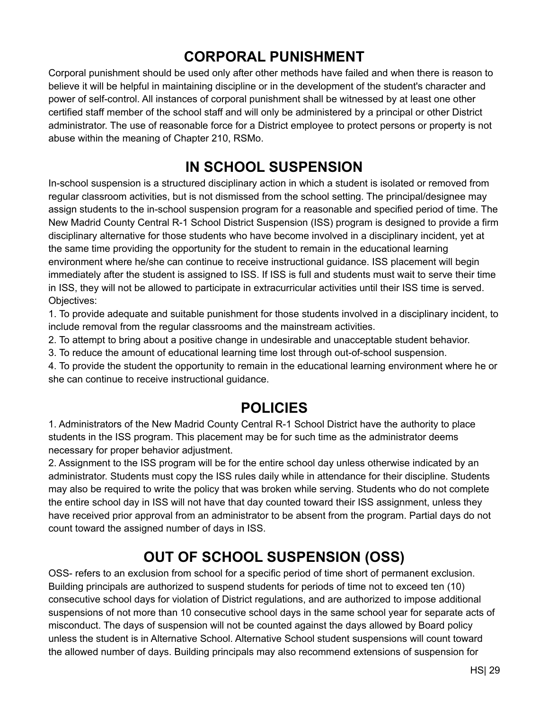# **CORPORAL PUNISHMENT**

<span id="page-29-0"></span>Corporal punishment should be used only after other methods have failed and when there is reason to believe it will be helpful in maintaining discipline or in the development of the student's character and power of self-control. All instances of corporal punishment shall be witnessed by at least one other certified staff member of the school staff and will only be administered by a principal or other District administrator. The use of reasonable force for a District employee to protect persons or property is not abuse within the meaning of Chapter 210, RSMo.

# **IN SCHOOL SUSPENSION**

<span id="page-29-1"></span>In-school suspension is a structured disciplinary action in which a student is isolated or removed from regular classroom activities, but is not dismissed from the school setting. The principal/designee may assign students to the in-school suspension program for a reasonable and specified period of time. The New Madrid County Central R-1 School District Suspension (ISS) program is designed to provide a firm disciplinary alternative for those students who have become involved in a disciplinary incident, yet at the same time providing the opportunity for the student to remain in the educational learning environment where he/she can continue to receive instructional guidance. ISS placement will begin immediately after the student is assigned to ISS. If ISS is full and students must wait to serve their time in ISS, they will not be allowed to participate in extracurricular activities until their ISS time is served. Objectives:

1. To provide adequate and suitable punishment for those students involved in a disciplinary incident, to include removal from the regular classrooms and the mainstream activities.

2. To attempt to bring about a positive change in undesirable and unacceptable student behavior.

3. To reduce the amount of educational learning time lost through out-of-school suspension.

4. To provide the student the opportunity to remain in the educational learning environment where he or she can continue to receive instructional guidance.

# **POLICIES**

<span id="page-29-2"></span>1. Administrators of the New Madrid County Central R-1 School District have the authority to place students in the ISS program. This placement may be for such time as the administrator deems necessary for proper behavior adjustment.

2. Assignment to the ISS program will be for the entire school day unless otherwise indicated by an administrator. Students must copy the ISS rules daily while in attendance for their discipline. Students may also be required to write the policy that was broken while serving. Students who do not complete the entire school day in ISS will not have that day counted toward their ISS assignment, unless they have received prior approval from an administrator to be absent from the program. Partial days do not count toward the assigned number of days in ISS.

# **OUT OF SCHOOL SUSPENSION (OSS)**

<span id="page-29-3"></span>OSS- refers to an exclusion from school for a specific period of time short of permanent exclusion. Building principals are authorized to suspend students for periods of time not to exceed ten (10) consecutive school days for violation of District regulations, and are authorized to impose additional suspensions of not more than 10 consecutive school days in the same school year for separate acts of misconduct. The days of suspension will not be counted against the days allowed by Board policy unless the student is in Alternative School. Alternative School student suspensions will count toward the allowed number of days. Building principals may also recommend extensions of suspension for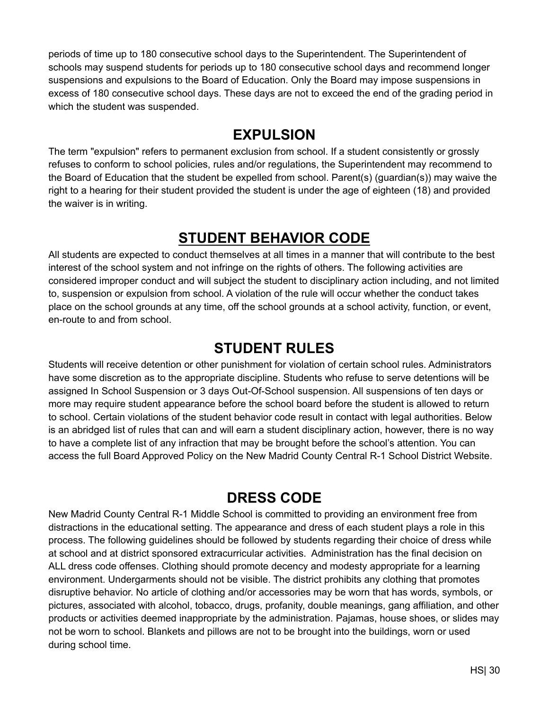periods of time up to 180 consecutive school days to the Superintendent. The Superintendent of schools may suspend students for periods up to 180 consecutive school days and recommend longer suspensions and expulsions to the Board of Education. Only the Board may impose suspensions in excess of 180 consecutive school days. These days are not to exceed the end of the grading period in which the student was suspended.

#### **EXPULSION**

<span id="page-30-0"></span>The term "expulsion" refers to permanent exclusion from school. If a student consistently or grossly refuses to conform to school policies, rules and/or regulations, the Superintendent may recommend to the Board of Education that the student be expelled from school. Parent(s) (guardian(s)) may waive the right to a hearing for their student provided the student is under the age of eighteen (18) and provided the waiver is in writing.

#### **STUDENT BEHAVIOR CODE**

<span id="page-30-1"></span>All students are expected to conduct themselves at all times in a manner that will contribute to the best interest of the school system and not infringe on the rights of others. The following activities are considered improper conduct and will subject the student to disciplinary action including, and not limited to, suspension or expulsion from school. A violation of the rule will occur whether the conduct takes place on the school grounds at any time, off the school grounds at a school activity, function, or event, en-route to and from school.

#### **STUDENT RULES**

<span id="page-30-2"></span>Students will receive detention or other punishment for violation of certain school rules. Administrators have some discretion as to the appropriate discipline. Students who refuse to serve detentions will be assigned In School Suspension or 3 days Out-Of-School suspension. All suspensions of ten days or more may require student appearance before the school board before the student is allowed to return to school. Certain violations of the student behavior code result in contact with legal authorities. Below is an abridged list of rules that can and will earn a student disciplinary action, however, there is no way to have a complete list of any infraction that may be brought before the school's attention. You can access the full Board Approved Policy on the New Madrid County Central R-1 School District Website.

#### **DRESS CODE**

<span id="page-30-3"></span>New Madrid County Central R-1 Middle School is committed to providing an environment free from distractions in the educational setting. The appearance and dress of each student plays a role in this process. The following guidelines should be followed by students regarding their choice of dress while at school and at district sponsored extracurricular activities. Administration has the final decision on ALL dress code offenses. Clothing should promote decency and modesty appropriate for a learning environment. Undergarments should not be visible. The district prohibits any clothing that promotes disruptive behavior. No article of clothing and/or accessories may be worn that has words, symbols, or pictures, associated with alcohol, tobacco, drugs, profanity, double meanings, gang affiliation, and other products or activities deemed inappropriate by the administration. Pajamas, house shoes, or slides may not be worn to school. Blankets and pillows are not to be brought into the buildings, worn or used during school time.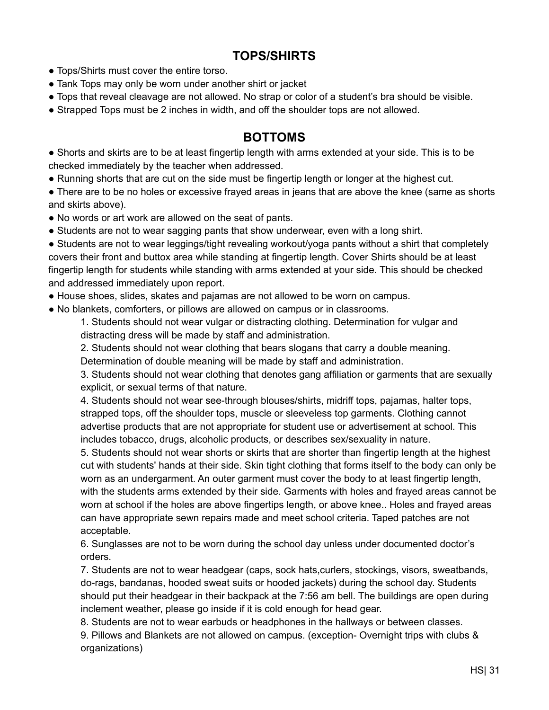#### **TOPS/SHIRTS**

- Tops/Shirts must cover the entire torso.
- Tank Tops may only be worn under another shirt or jacket
- Tops that reveal cleavage are not allowed. No strap or color of a student's bra should be visible.
- Strapped Tops must be 2 inches in width, and off the shoulder tops are not allowed.

#### **BOTTOMS**

● Shorts and skirts are to be at least fingertip length with arms extended at your side. This is to be checked immediately by the teacher when addressed.

- Running shorts that are cut on the side must be fingertip length or longer at the highest cut.
- There are to be no holes or excessive frayed areas in jeans that are above the knee (same as shorts and skirts above).
- No words or art work are allowed on the seat of pants.
- Students are not to wear sagging pants that show underwear, even with a long shirt.

• Students are not to wear leggings/tight revealing workout/yoga pants without a shirt that completely covers their front and buttox area while standing at fingertip length. Cover Shirts should be at least fingertip length for students while standing with arms extended at your side. This should be checked and addressed immediately upon report.

- House shoes, slides, skates and pajamas are not allowed to be worn on campus.
- No blankets, comforters, or pillows are allowed on campus or in classrooms.

1. Students should not wear vulgar or distracting clothing. Determination for vulgar and distracting dress will be made by staff and administration.

2. Students should not wear clothing that bears slogans that carry a double meaning.

Determination of double meaning will be made by staff and administration.

3. Students should not wear clothing that denotes gang affiliation or garments that are sexually explicit, or sexual terms of that nature.

4. Students should not wear see-through blouses/shirts, midriff tops, pajamas, halter tops, strapped tops, off the shoulder tops, muscle or sleeveless top garments. Clothing cannot advertise products that are not appropriate for student use or advertisement at school. This includes tobacco, drugs, alcoholic products, or describes sex/sexuality in nature.

5. Students should not wear shorts or skirts that are shorter than fingertip length at the highest cut with students' hands at their side. Skin tight clothing that forms itself to the body can only be worn as an undergarment. An outer garment must cover the body to at least fingertip length, with the students arms extended by their side. Garments with holes and frayed areas cannot be worn at school if the holes are above fingertips length, or above knee.. Holes and frayed areas can have appropriate sewn repairs made and meet school criteria. Taped patches are not acceptable.

6. Sunglasses are not to be worn during the school day unless under documented doctor's orders.

7. Students are not to wear headgear (caps, sock hats,curlers, stockings, visors, sweatbands, do-rags, bandanas, hooded sweat suits or hooded jackets) during the school day. Students should put their headgear in their backpack at the 7:56 am bell. The buildings are open during inclement weather, please go inside if it is cold enough for head gear.

8. Students are not to wear earbuds or headphones in the hallways or between classes.

9. Pillows and Blankets are not allowed on campus. (exception- Overnight trips with clubs & organizations)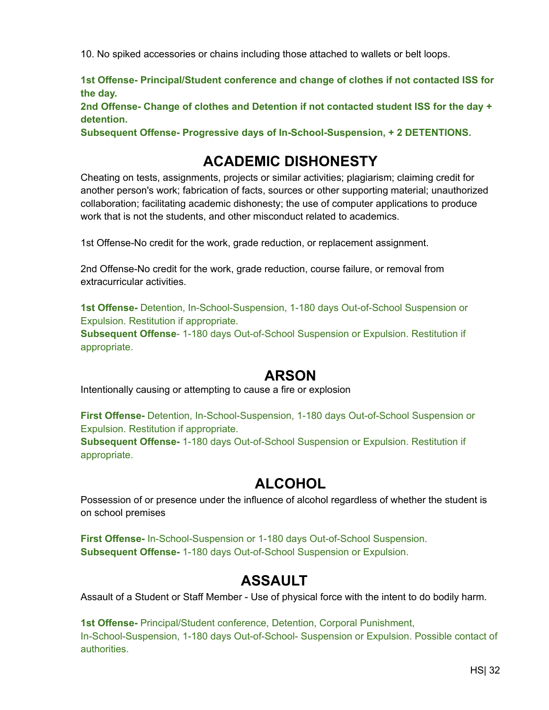10. No spiked accessories or chains including those attached to wallets or belt loops.

**1st Offense- Principal/Student conference and change of clothes if not contacted ISS for the day.**

**2nd Offense- Change of clothes and Detention if not contacted student ISS for the day + detention.**

**Subsequent Offense- Progressive days of In-School-Suspension, + 2 DETENTIONS.**

#### **ACADEMIC DISHONESTY**

<span id="page-32-0"></span>Cheating on tests, assignments, projects or similar activities; plagiarism; claiming credit for another person's work; fabrication of facts, sources or other supporting material; unauthorized collaboration; facilitating academic dishonesty; the use of computer applications to produce work that is not the students, and other misconduct related to academics.

1st Offense-No credit for the work, grade reduction, or replacement assignment.

2nd Offense-No credit for the work, grade reduction, course failure, or removal from extracurricular activities.

**1st Offense-** Detention, In-School-Suspension, 1-180 days Out-of-School Suspension or Expulsion. Restitution if appropriate.

**Subsequent Offense**- 1-180 days Out-of-School Suspension or Expulsion. Restitution if appropriate.

#### **ARSON**

<span id="page-32-1"></span>Intentionally causing or attempting to cause a fire or explosion

**First Offense-** Detention, In-School-Suspension, 1-180 days Out-of-School Suspension or Expulsion. Restitution if appropriate. **Subsequent Offense-** 1-180 days Out-of-School Suspension or Expulsion. Restitution if appropriate.

#### **ALCOHOL**

<span id="page-32-2"></span>Possession of or presence under the influence of alcohol regardless of whether the student is on school premises

**First Offense-** In-School-Suspension or 1-180 days Out-of-School Suspension. **Subsequent Offense-** 1-180 days Out-of-School Suspension or Expulsion.

#### **ASSAULT**

<span id="page-32-3"></span>Assault of a Student or Staff Member - Use of physical force with the intent to do bodily harm.

**1st Offense-** Principal/Student conference, Detention, Corporal Punishment, In-School-Suspension, 1-180 days Out-of-School- Suspension or Expulsion. Possible contact of authorities.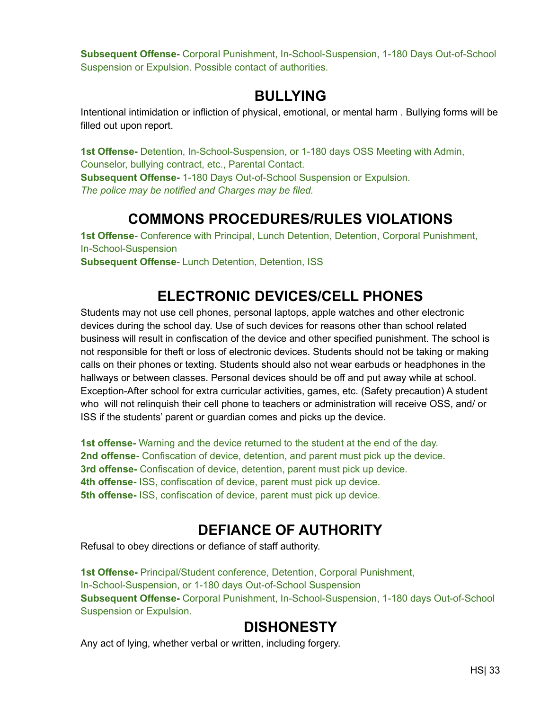**Subsequent Offense-** Corporal Punishment, In-School-Suspension, 1-180 Days Out-of-School Suspension or Expulsion. Possible contact of authorities.

#### **BULLYING**

<span id="page-33-0"></span>Intentional intimidation or infliction of physical, emotional, or mental harm . Bullying forms will be filled out upon report.

**1st Offense-** Detention, In-School-Suspension, or 1-180 days OSS Meeting with Admin, Counselor, bullying contract, etc., Parental Contact. **Subsequent Offense-** 1-180 Days Out-of-School Suspension or Expulsion. *The police may be notified and Charges may be filed.*

#### **COMMONS PROCEDURES/RULES VIOLATIONS**

<span id="page-33-1"></span>**1st Offense-** Conference with Principal, Lunch Detention, Detention, Corporal Punishment, In-School-Suspension

**Subsequent Offense-** Lunch Detention, Detention, ISS

#### **ELECTRONIC DEVICES/CELL PHONES**

<span id="page-33-2"></span>Students may not use cell phones, personal laptops, apple watches and other electronic devices during the school day. Use of such devices for reasons other than school related business will result in confiscation of the device and other specified punishment. The school is not responsible for theft or loss of electronic devices. Students should not be taking or making calls on their phones or texting. Students should also not wear earbuds or headphones in the hallways or between classes. Personal devices should be off and put away while at school. Exception-After school for extra curricular activities, games, etc. (Safety precaution) A student who will not relinquish their cell phone to teachers or administration will receive OSS, and/ or ISS if the students' parent or guardian comes and picks up the device.

**1st offense-** Warning and the device returned to the student at the end of the day. **2nd offense-** Confiscation of device, detention, and parent must pick up the device. **3rd offense-** Confiscation of device, detention, parent must pick up device. **4th offense-** ISS, confiscation of device, parent must pick up device. **5th offense-** ISS, confiscation of device, parent must pick up device.

# **DEFIANCE OF AUTHORITY**

<span id="page-33-3"></span>Refusal to obey directions or defiance of staff authority.

**1st Offense-** Principal/Student conference, Detention, Corporal Punishment, In-School-Suspension, or 1-180 days Out-of-School Suspension **Subsequent Offense-** Corporal Punishment, In-School-Suspension, 1-180 days Out-of-School Suspension or Expulsion.

# **DISHONESTY**

<span id="page-33-4"></span>Any act of lying, whether verbal or written, including forgery.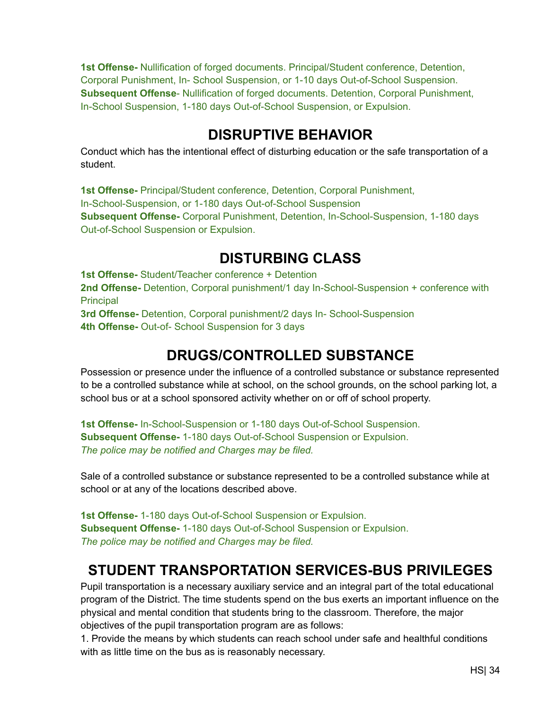**1st Offense-** Nullification of forged documents. Principal/Student conference, Detention, Corporal Punishment, In- School Suspension, or 1-10 days Out-of-School Suspension. **Subsequent Offense**- Nullification of forged documents. Detention, Corporal Punishment, In-School Suspension, 1-180 days Out-of-School Suspension, or Expulsion.

# **DISRUPTIVE BEHAVIOR**

<span id="page-34-0"></span>Conduct which has the intentional effect of disturbing education or the safe transportation of a student.

**1st Offense-** Principal/Student conference, Detention, Corporal Punishment, In-School-Suspension, or 1-180 days Out-of-School Suspension **Subsequent Offense-** Corporal Punishment, Detention, In-School-Suspension, 1-180 days Out-of-School Suspension or Expulsion.

#### **DISTURBING CLASS**

<span id="page-34-1"></span>**1st Offense-** Student/Teacher conference + Detention **2nd Offense-** Detention, Corporal punishment/1 day In-School-Suspension + conference with **Principal 3rd Offense-** Detention, Corporal punishment/2 days In- School-Suspension **4th Offense-** Out-of- School Suspension for 3 days

#### **DRUGS/CONTROLLED SUBSTANCE**

<span id="page-34-2"></span>Possession or presence under the influence of a controlled substance or substance represented to be a controlled substance while at school, on the school grounds, on the school parking lot, a school bus or at a school sponsored activity whether on or off of school property.

**1st Offense-** In-School-Suspension or 1-180 days Out-of-School Suspension. **Subsequent Offense-** 1-180 days Out-of-School Suspension or Expulsion. *The police may be notified and Charges may be filed.*

Sale of a controlled substance or substance represented to be a controlled substance while at school or at any of the locations described above.

**1st Offense-** 1-180 days Out-of-School Suspension or Expulsion. **Subsequent Offense-** 1-180 days Out-of-School Suspension or Expulsion. *The police may be notified and Charges may be filed.*

# **STUDENT TRANSPORTATION SERVICES-BUS PRIVILEGES**

<span id="page-34-3"></span>Pupil transportation is a necessary auxiliary service and an integral part of the total educational program of the District. The time students spend on the bus exerts an important influence on the physical and mental condition that students bring to the classroom. Therefore, the major objectives of the pupil transportation program are as follows:

1. Provide the means by which students can reach school under safe and healthful conditions with as little time on the bus as is reasonably necessary.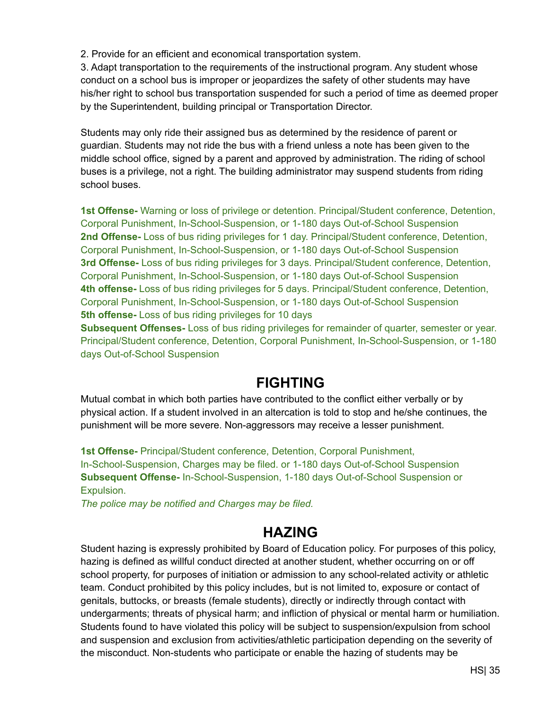2. Provide for an efficient and economical transportation system.

3. Adapt transportation to the requirements of the instructional program. Any student whose conduct on a school bus is improper or jeopardizes the safety of other students may have his/her right to school bus transportation suspended for such a period of time as deemed proper by the Superintendent, building principal or Transportation Director.

Students may only ride their assigned bus as determined by the residence of parent or guardian. Students may not ride the bus with a friend unless a note has been given to the middle school office, signed by a parent and approved by administration. The riding of school buses is a privilege, not a right. The building administrator may suspend students from riding school buses.

**1st Offense-** Warning or loss of privilege or detention. Principal/Student conference, Detention, Corporal Punishment, In-School-Suspension, or 1-180 days Out-of-School Suspension **2nd Offense-** Loss of bus riding privileges for 1 day. Principal/Student conference, Detention, Corporal Punishment, In-School-Suspension, or 1-180 days Out-of-School Suspension **3rd Offense-** Loss of bus riding privileges for 3 days. Principal/Student conference, Detention, Corporal Punishment, In-School-Suspension, or 1-180 days Out-of-School Suspension **4th offense-** Loss of bus riding privileges for 5 days. Principal/Student conference, Detention, Corporal Punishment, In-School-Suspension, or 1-180 days Out-of-School Suspension **5th offense-** Loss of bus riding privileges for 10 days

**Subsequent Offenses-** Loss of bus riding privileges for remainder of quarter, semester or year. Principal/Student conference, Detention, Corporal Punishment, In-School-Suspension, or 1-180 days Out-of-School Suspension

#### **FIGHTING**

<span id="page-35-0"></span>Mutual combat in which both parties have contributed to the conflict either verbally or by physical action. If a student involved in an altercation is told to stop and he/she continues, the punishment will be more severe. Non-aggressors may receive a lesser punishment.

**1st Offense-** Principal/Student conference, Detention, Corporal Punishment, In-School-Suspension, Charges may be filed. or 1-180 days Out-of-School Suspension **Subsequent Offense-** In-School-Suspension, 1-180 days Out-of-School Suspension or Expulsion.

*The police may be notified and Charges may be filed.*

#### **HAZING**

<span id="page-35-1"></span>Student hazing is expressly prohibited by Board of Education policy. For purposes of this policy, hazing is defined as willful conduct directed at another student, whether occurring on or off school property, for purposes of initiation or admission to any school-related activity or athletic team. Conduct prohibited by this policy includes, but is not limited to, exposure or contact of genitals, buttocks, or breasts (female students), directly or indirectly through contact with undergarments; threats of physical harm; and infliction of physical or mental harm or humiliation. Students found to have violated this policy will be subject to suspension/expulsion from school and suspension and exclusion from activities/athletic participation depending on the severity of the misconduct. Non-students who participate or enable the hazing of students may be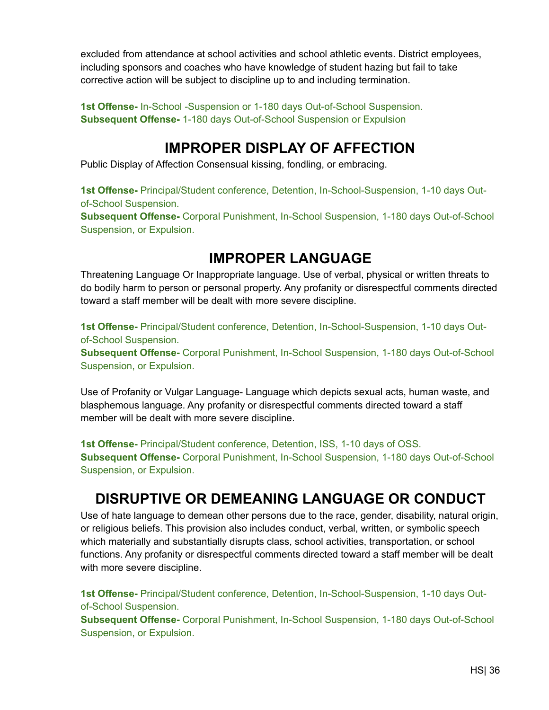excluded from attendance at school activities and school athletic events. District employees, including sponsors and coaches who have knowledge of student hazing but fail to take corrective action will be subject to discipline up to and including termination.

**1st Offense-** In-School -Suspension or 1-180 days Out-of-School Suspension. **Subsequent Offense-** 1-180 days Out-of-School Suspension or Expulsion

#### **IMPROPER DISPLAY OF AFFECTION**

<span id="page-36-0"></span>Public Display of Affection Consensual kissing, fondling, or embracing.

**1st Offense-** Principal/Student conference, Detention, In-School-Suspension, 1-10 days Outof-School Suspension.

**Subsequent Offense-** Corporal Punishment, In-School Suspension, 1-180 days Out-of-School Suspension, or Expulsion.

#### **IMPROPER LANGUAGE**

<span id="page-36-1"></span>Threatening Language Or Inappropriate language. Use of verbal, physical or written threats to do bodily harm to person or personal property. Any profanity or disrespectful comments directed toward a staff member will be dealt with more severe discipline.

**1st Offense-** Principal/Student conference, Detention, In-School-Suspension, 1-10 days Outof-School Suspension.

**Subsequent Offense-** Corporal Punishment, In-School Suspension, 1-180 days Out-of-School Suspension, or Expulsion.

Use of Profanity or Vulgar Language- Language which depicts sexual acts, human waste, and blasphemous language. Any profanity or disrespectful comments directed toward a staff member will be dealt with more severe discipline.

**1st Offense-** Principal/Student conference, Detention, ISS, 1-10 days of OSS. **Subsequent Offense-** Corporal Punishment, In-School Suspension, 1-180 days Out-of-School Suspension, or Expulsion.

# **DISRUPTIVE OR DEMEANING LANGUAGE OR CONDUCT**

<span id="page-36-2"></span>Use of hate language to demean other persons due to the race, gender, disability, natural origin, or religious beliefs. This provision also includes conduct, verbal, written, or symbolic speech which materially and substantially disrupts class, school activities, transportation, or school functions. Any profanity or disrespectful comments directed toward a staff member will be dealt with more severe discipline.

**1st Offense-** Principal/Student conference, Detention, In-School-Suspension, 1-10 days Outof-School Suspension.

**Subsequent Offense-** Corporal Punishment, In-School Suspension, 1-180 days Out-of-School Suspension, or Expulsion.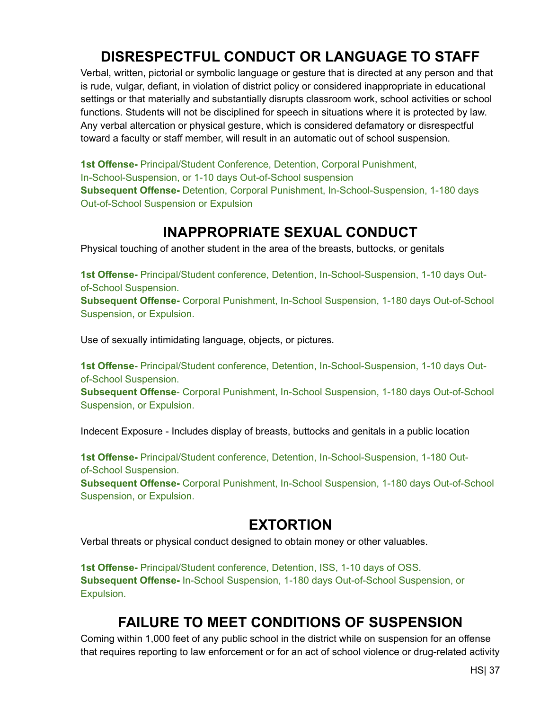# **DISRESPECTFUL CONDUCT OR LANGUAGE TO STAFF**

<span id="page-37-0"></span>Verbal, written, pictorial or symbolic language or gesture that is directed at any person and that is rude, vulgar, defiant, in violation of district policy or considered inappropriate in educational settings or that materially and substantially disrupts classroom work, school activities or school functions. Students will not be disciplined for speech in situations where it is protected by law. Any verbal altercation or physical gesture, which is considered defamatory or disrespectful toward a faculty or staff member, will result in an automatic out of school suspension.

**1st Offense-** Principal/Student Conference, Detention, Corporal Punishment, In-School-Suspension, or 1-10 days Out-of-School suspension **Subsequent Offense-** Detention, Corporal Punishment, In-School-Suspension, 1-180 days Out-of-School Suspension or Expulsion

#### **INAPPROPRIATE SEXUAL CONDUCT**

<span id="page-37-1"></span>Physical touching of another student in the area of the breasts, buttocks, or genitals

**1st Offense-** Principal/Student conference, Detention, In-School-Suspension, 1-10 days Outof-School Suspension.

**Subsequent Offense-** Corporal Punishment, In-School Suspension, 1-180 days Out-of-School Suspension, or Expulsion.

Use of sexually intimidating language, objects, or pictures.

**1st Offense-** Principal/Student conference, Detention, In-School-Suspension, 1-10 days Outof-School Suspension.

**Subsequent Offense**- Corporal Punishment, In-School Suspension, 1-180 days Out-of-School Suspension, or Expulsion.

Indecent Exposure - Includes display of breasts, buttocks and genitals in a public location

**1st Offense-** Principal/Student conference, Detention, In-School-Suspension, 1-180 Outof-School Suspension.

**Subsequent Offense-** Corporal Punishment, In-School Suspension, 1-180 days Out-of-School Suspension, or Expulsion.

#### **EXTORTION**

<span id="page-37-2"></span>Verbal threats or physical conduct designed to obtain money or other valuables.

**1st Offense-** Principal/Student conference, Detention, ISS, 1-10 days of OSS. **Subsequent Offense-** In-School Suspension, 1-180 days Out-of-School Suspension, or Expulsion.

#### **FAILURE TO MEET CONDITIONS OF SUSPENSION**

<span id="page-37-3"></span>Coming within 1,000 feet of any public school in the district while on suspension for an offense that requires reporting to law enforcement or for an act of school violence or drug-related activity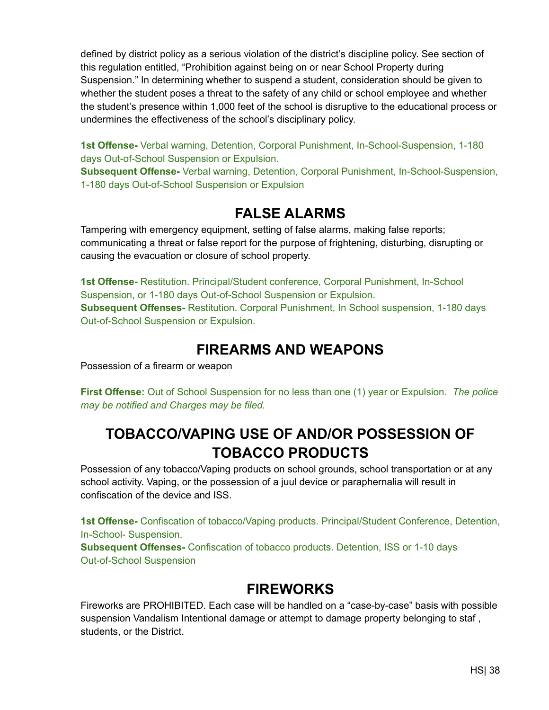defined by district policy as a serious violation of the district's discipline policy. See section of this regulation entitled, "Prohibition against being on or near School Property during Suspension." In determining whether to suspend a student, consideration should be given to whether the student poses a threat to the safety of any child or school employee and whether the student's presence within 1,000 feet of the school is disruptive to the educational process or undermines the effectiveness of the school's disciplinary policy.

**1st Offense-** Verbal warning, Detention, Corporal Punishment, In-School-Suspension, 1-180 days Out-of-School Suspension or Expulsion.

**Subsequent Offense-** Verbal warning, Detention, Corporal Punishment, In-School-Suspension, 1-180 days Out-of-School Suspension or Expulsion

#### **FALSE ALARMS**

<span id="page-38-0"></span>Tampering with emergency equipment, setting of false alarms, making false reports; communicating a threat or false report for the purpose of frightening, disturbing, disrupting or causing the evacuation or closure of school property.

**1st Offense-** Restitution. Principal/Student conference, Corporal Punishment, In-School Suspension, or 1-180 days Out-of-School Suspension or Expulsion. **Subsequent Offenses-** Restitution. Corporal Punishment, In School suspension, 1-180 days Out-of-School Suspension or Expulsion.

# **FIREARMS AND WEAPONS**

<span id="page-38-1"></span>Possession of a firearm or weapon

**First Offense:** Out of School Suspension for no less than one (1) year or Expulsion. *The police may be notified and Charges may be filed.*

# **TOBACCO/VAPING USE OF AND/OR POSSESSION OF TOBACCO PRODUCTS**

<span id="page-38-2"></span>Possession of any tobacco/Vaping products on school grounds, school transportation or at any school activity. Vaping, or the possession of a juul device or paraphernalia will result in confiscation of the device and ISS.

**1st Offense-** Confiscation of tobacco/Vaping products. Principal/Student Conference, Detention, In-School- Suspension.

**Subsequent Offenses-** Confiscation of tobacco products. Detention, ISS or 1-10 days Out-of-School Suspension

#### **FIREWORKS**

<span id="page-38-3"></span>Fireworks are PROHIBITED. Each case will be handled on a "case-by-case" basis with possible suspension Vandalism Intentional damage or attempt to damage property belonging to staf , students, or the District.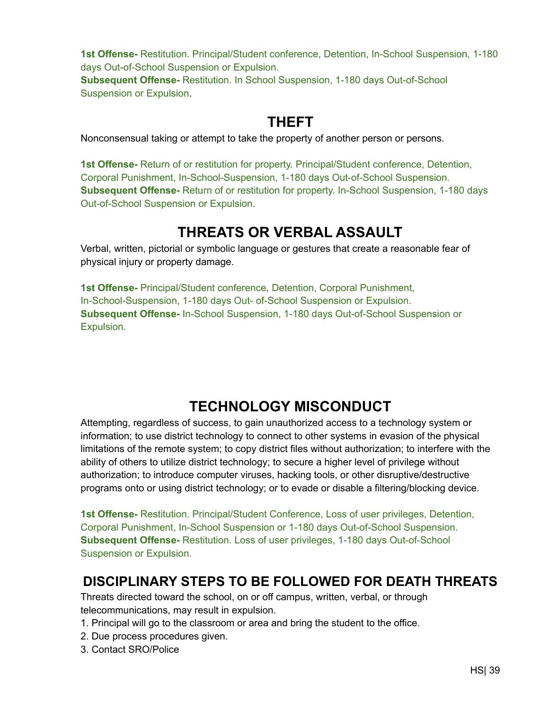**1st Offense-** Restitution. Principal/Student conference, Detention, In-School Suspension, 1-180 days Out-of-School Suspension or Expulsion.

**Subsequent Offense-** Restitution. In School Suspension, 1-180 days Out-of-School Suspension or Expulsion.

#### **THEFT**

<span id="page-39-0"></span>Nonconsensual taking or attempt to take the property of another person or persons.

**1st Offense-** Return of or restitution for property. Principal/Student conference, Detention, Corporal Punishment, In-School-Suspension, 1-180 days Out-of-School Suspension. **Subsequent Offense-** Return of or restitution for property. In-School Suspension, 1-180 days Out-of-School Suspension or Expulsion.

#### **THREATS OR VERBAL ASSAULT**

<span id="page-39-1"></span>Verbal, written, pictorial or symbolic language or gestures that create a reasonable fear of physical injury or property damage.

<span id="page-39-2"></span>**1st Offense-** Principal/Student conference, Detention, Corporal Punishment, In-School-Suspension, 1-180 days Out- of-School Suspension or Expulsion. **Subsequent Offense-** In-School Suspension, 1-180 days Out-of-School Suspension or Expulsion.

# **TECHNOLOGY MISCONDUCT**

Attempting, regardless of success, to gain unauthorized access to a technology system or information; to use district technology to connect to other systems in evasion of the physical limitations of the remote system; to copy district files without authorization; to interfere with the ability of others to utilize district technology; to secure a higher level of privilege without authorization; to introduce computer viruses, hacking tools, or other disruptive/destructive programs onto or using district technology; or to evade or disable a filtering/blocking device.

**1st Offense-** Restitution. Principal/Student Conference, Loss of user privileges, Detention, Corporal Punishment, In-School Suspension or 1-180 days Out-of-School Suspension. **Subsequent Offense-** Restitution. Loss of user privileges, 1-180 days Out-of-School Suspension or Expulsion.

#### <span id="page-39-3"></span>**DISCIPLINARY STEPS TO BE FOLLOWED FOR DEATH THREATS**

Threats directed toward the school, on or off campus, written, verbal, or through telecommunications, may result in expulsion.

- 1. Principal will go to the classroom or area and bring the student to the office.
- 2. Due process procedures given.
- 3. Contact SRO/Police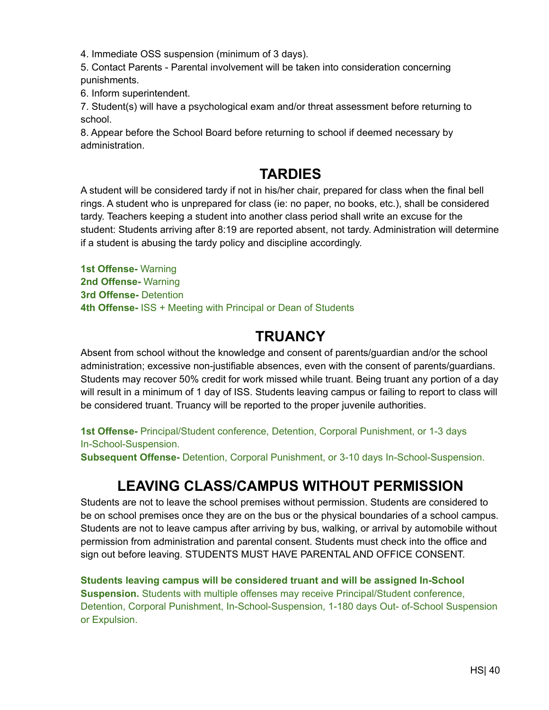4. Immediate OSS suspension (minimum of 3 days).

5. Contact Parents - Parental involvement will be taken into consideration concerning punishments.

6. Inform superintendent.

7. Student(s) will have a psychological exam and/or threat assessment before returning to school.

8. Appear before the School Board before returning to school if deemed necessary by administration.

#### **TARDIES**

<span id="page-40-0"></span>A student will be considered tardy if not in his/her chair, prepared for class when the final bell rings. A student who is unprepared for class (ie: no paper, no books, etc.), shall be considered tardy. Teachers keeping a student into another class period shall write an excuse for the student: Students arriving after 8:19 are reported absent, not tardy. Administration will determine if a student is abusing the tardy policy and discipline accordingly.

**1st Offense-** Warning **2nd Offense-** Warning **3rd Offense-** Detention **4th Offense-** ISS + Meeting with Principal or Dean of Students

#### **TRUANCY**

<span id="page-40-1"></span>Absent from school without the knowledge and consent of parents/guardian and/or the school administration; excessive non-justifiable absences, even with the consent of parents/guardians. Students may recover 50% credit for work missed while truant. Being truant any portion of a day will result in a minimum of 1 day of ISS. Students leaving campus or failing to report to class will be considered truant. Truancy will be reported to the proper juvenile authorities.

**1st Offense-** Principal/Student conference, Detention, Corporal Punishment, or 1-3 days In-School-Suspension.

**Subsequent Offense-** Detention, Corporal Punishment, or 3-10 days In-School-Suspension.

# **LEAVING CLASS/CAMPUS WITHOUT PERMISSION**

<span id="page-40-2"></span>Students are not to leave the school premises without permission. Students are considered to be on school premises once they are on the bus or the physical boundaries of a school campus. Students are not to leave campus after arriving by bus, walking, or arrival by automobile without permission from administration and parental consent. Students must check into the office and sign out before leaving. STUDENTS MUST HAVE PARENTAL AND OFFICE CONSENT.

**Students leaving campus will be considered truant and will be assigned In-School Suspension.** Students with multiple offenses may receive Principal/Student conference, Detention, Corporal Punishment, In-School-Suspension, 1-180 days Out- of-School Suspension or Expulsion.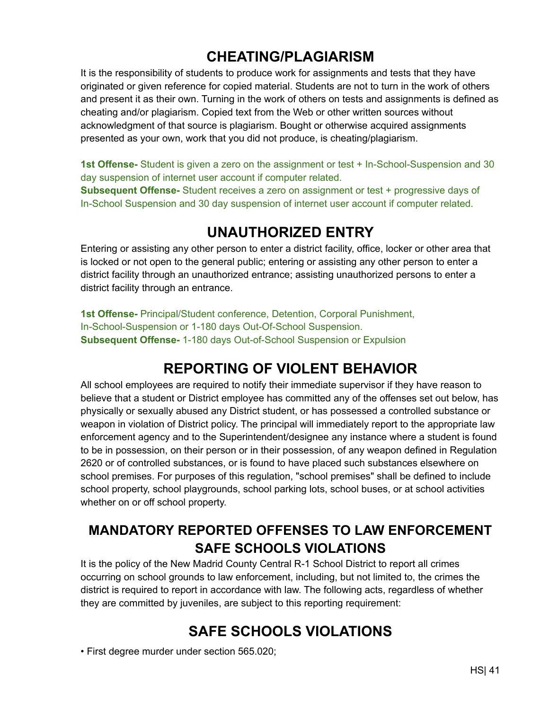# **CHEATING/PLAGIARISM**

<span id="page-41-0"></span>It is the responsibility of students to produce work for assignments and tests that they have originated or given reference for copied material. Students are not to turn in the work of others and present it as their own. Turning in the work of others on tests and assignments is defined as cheating and/or plagiarism. Copied text from the Web or other written sources without acknowledgment of that source is plagiarism. Bought or otherwise acquired assignments presented as your own, work that you did not produce, is cheating/plagiarism.

**1st Offense-** Student is given a zero on the assignment or test + In-School-Suspension and 30 day suspension of internet user account if computer related.

**Subsequent Offense-** Student receives a zero on assignment or test + progressive days of In-School Suspension and 30 day suspension of internet user account if computer related.

#### **UNAUTHORIZED ENTRY**

<span id="page-41-1"></span>Entering or assisting any other person to enter a district facility, office, locker or other area that is locked or not open to the general public; entering or assisting any other person to enter a district facility through an unauthorized entrance; assisting unauthorized persons to enter a district facility through an entrance.

**1st Offense-** Principal/Student conference, Detention, Corporal Punishment, In-School-Suspension or 1-180 days Out-Of-School Suspension. **Subsequent Offense-** 1-180 days Out-of-School Suspension or Expulsion

# **REPORTING OF VIOLENT BEHAVIOR**

<span id="page-41-2"></span>All school employees are required to notify their immediate supervisor if they have reason to believe that a student or District employee has committed any of the offenses set out below, has physically or sexually abused any District student, or has possessed a controlled substance or weapon in violation of District policy. The principal will immediately report to the appropriate law enforcement agency and to the Superintendent/designee any instance where a student is found to be in possession, on their person or in their possession, of any weapon defined in Regulation 2620 or of controlled substances, or is found to have placed such substances elsewhere on school premises. For purposes of this regulation, "school premises" shall be defined to include school property, school playgrounds, school parking lots, school buses, or at school activities whether on or off school property.

#### <span id="page-41-3"></span>**MANDATORY REPORTED OFFENSES TO LAW ENFORCEMENT SAFE SCHOOLS VIOLATIONS**

It is the policy of the New Madrid County Central R-1 School District to report all crimes occurring on school grounds to law enforcement, including, but not limited to, the crimes the district is required to report in accordance with law. The following acts, regardless of whether they are committed by juveniles, are subject to this reporting requirement:

# **SAFE SCHOOLS VIOLATIONS**

<span id="page-41-4"></span>• First degree murder under section 565.020;